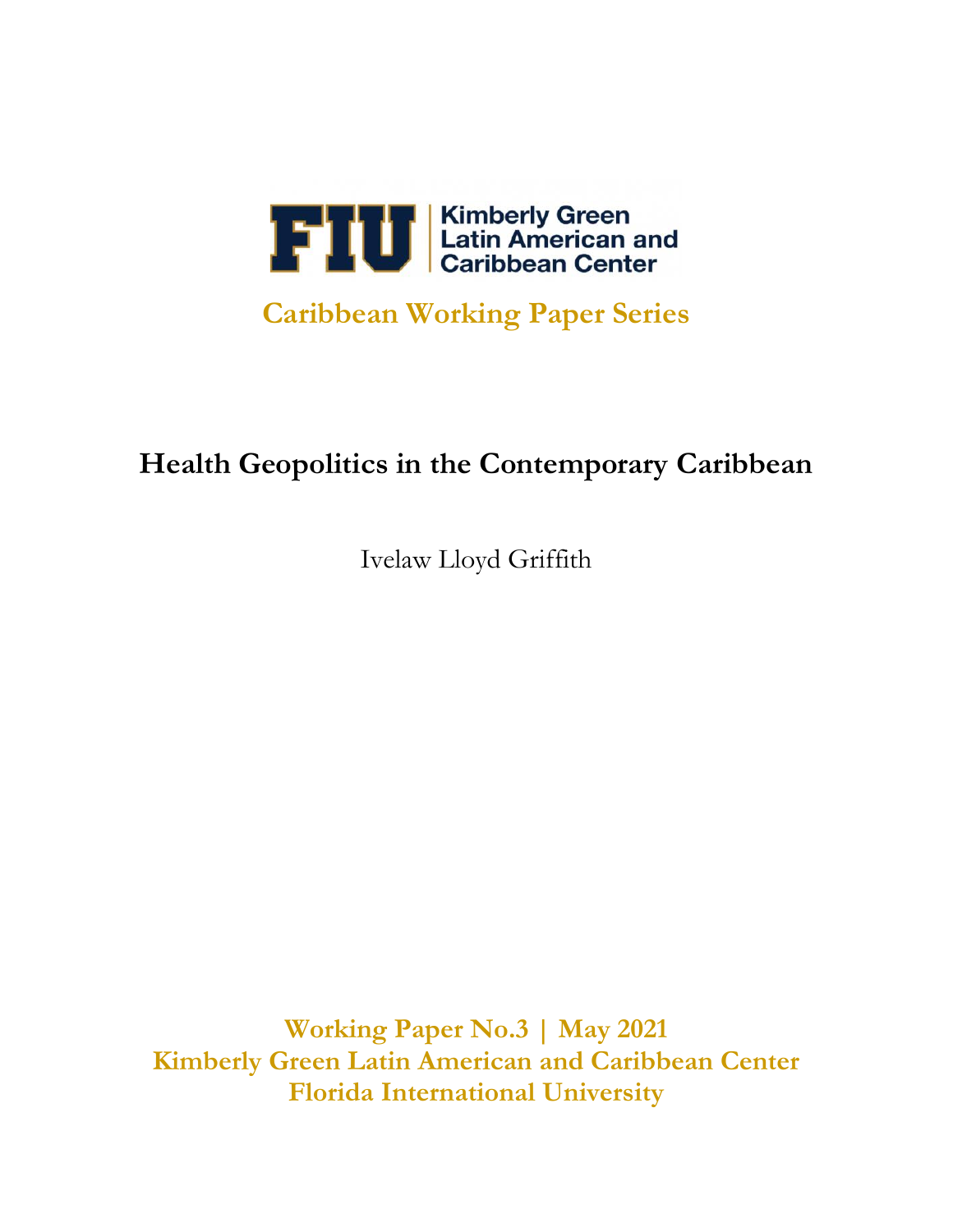

## **Caribbean Working Paper Series**

# **Health Geopolitics in the Contemporary Caribbean**

Ivelaw Lloyd Griffith

**Working Paper No.3 | May 2021 Kimberly Green Latin American and Caribbean Center Florida International University**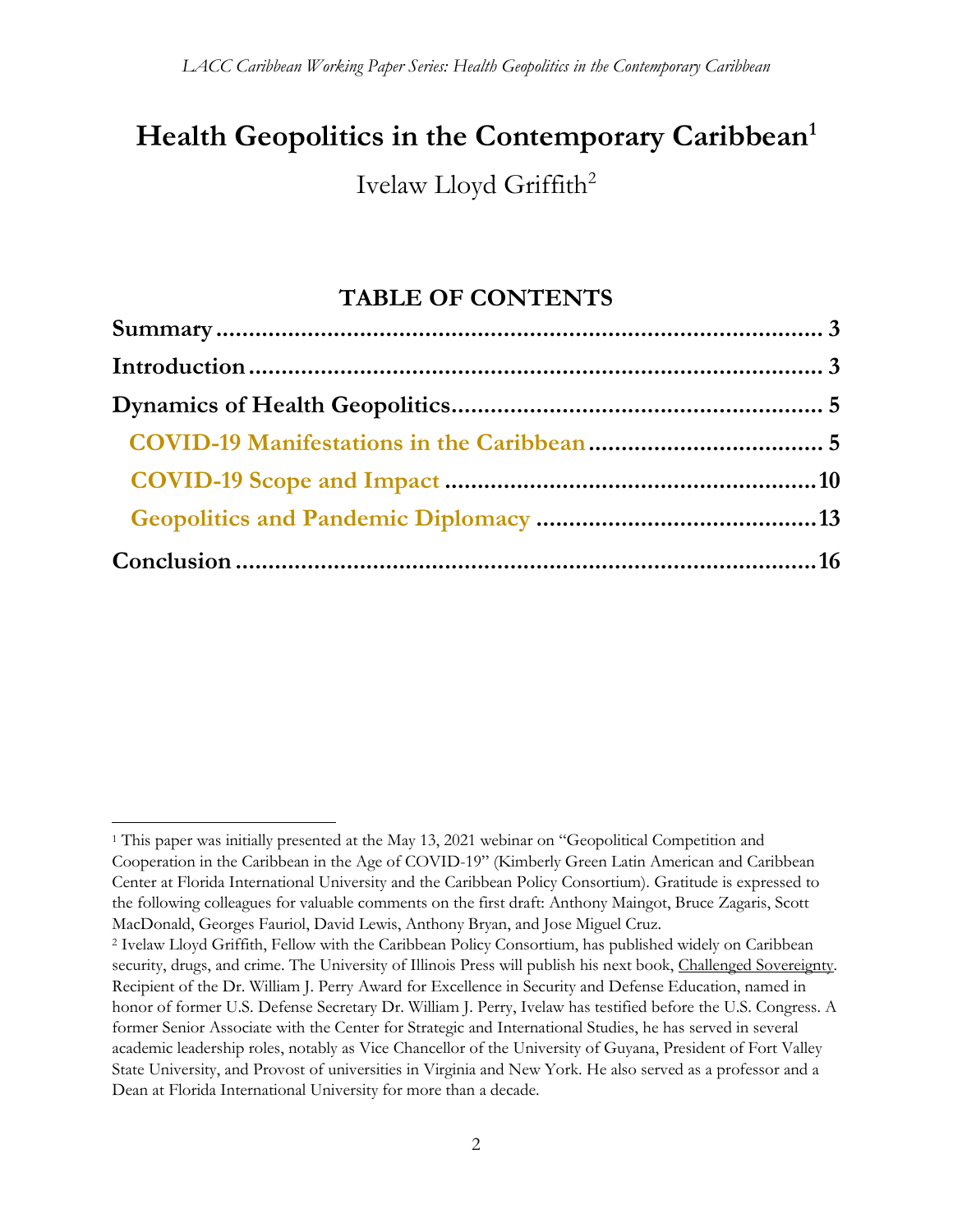# **Health Geopolitics in the Contemporary Caribbean<sup>1</sup>**

Ivelaw Lloyd Griffith<sup>2</sup>

## **TABLE OF CONTENTS**

<sup>1</sup> This paper was initially presented at the May 13, 2021 webinar on "Geopolitical Competition and Cooperation in the Caribbean in the Age of COVID-19" (Kimberly Green Latin American and Caribbean Center at Florida International University and the Caribbean Policy Consortium). Gratitude is expressed to the following colleagues for valuable comments on the first draft: Anthony Maingot, Bruce Zagaris, Scott MacDonald, Georges Fauriol, David Lewis, Anthony Bryan, and Jose Miguel Cruz.

<sup>2</sup> Ivelaw Lloyd Griffith, Fellow with the Caribbean Policy Consortium, has published widely on Caribbean security, drugs, and crime. The University of Illinois Press will publish his next book, Challenged Sovereignty. Recipient of the Dr. William J. Perry Award for Excellence in Security and Defense Education, named in honor of former U.S. Defense Secretary Dr. William J. Perry, Ivelaw has testified before the U.S. Congress. A former Senior Associate with the Center for Strategic and International Studies, he has served in several academic leadership roles, notably as Vice Chancellor of the University of Guyana, President of Fort Valley State University, and Provost of universities in Virginia and New York. He also served as a professor and a Dean at Florida International University for more than a decade.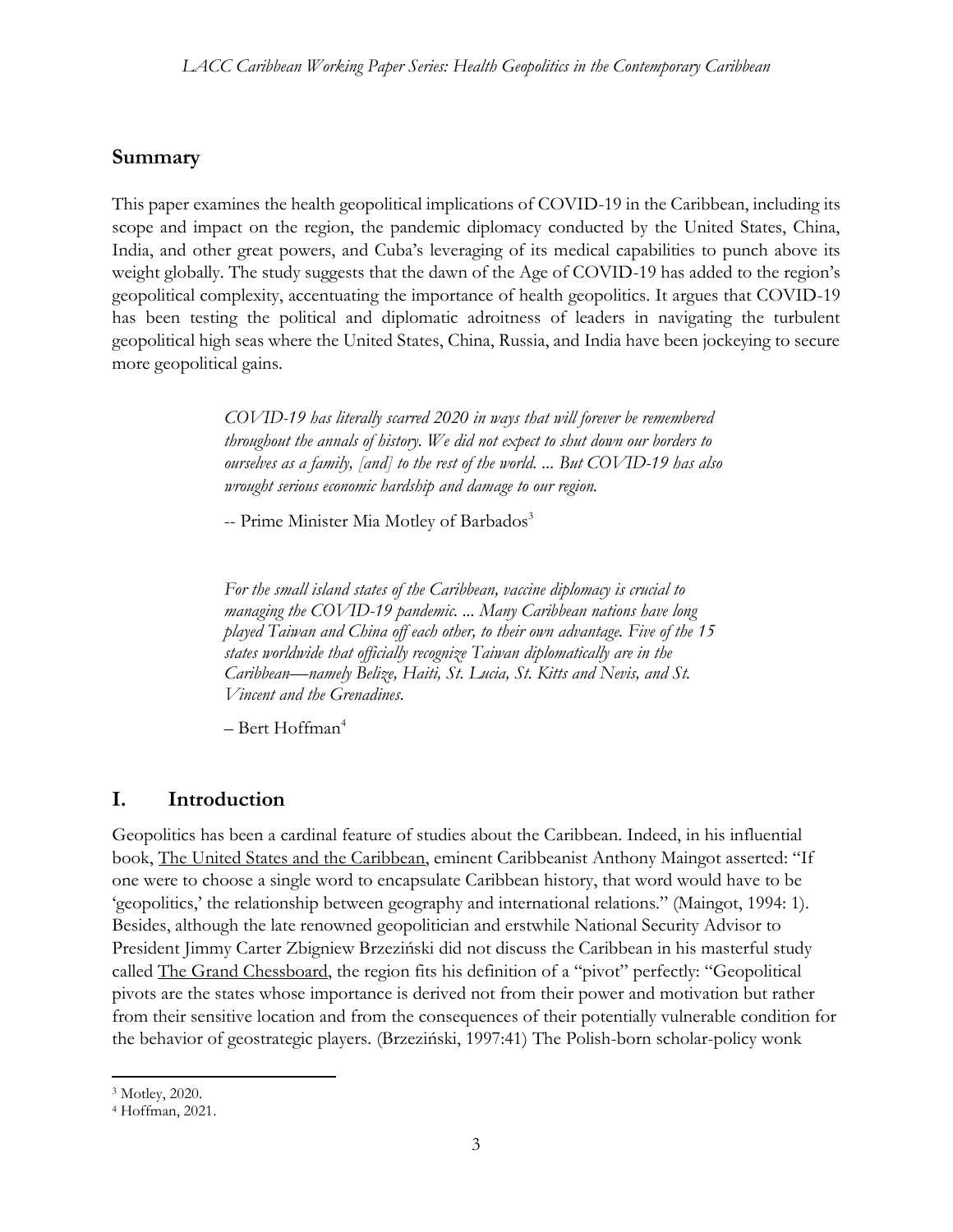## **Summary**

This paper examines the health geopolitical implications of COVID-19 in the Caribbean, including its scope and impact on the region, the pandemic diplomacy conducted by the United States, China, India, and other great powers, and Cuba's leveraging of its medical capabilities to punch above its weight globally. The study suggests that the dawn of the Age of COVID-19 has added to the region's geopolitical complexity, accentuating the importance of health geopolitics. It argues that COVID-19 has been testing the political and diplomatic adroitness of leaders in navigating the turbulent geopolitical high seas where the United States, China, Russia, and India have been jockeying to secure more geopolitical gains.

> *COVID-19 has literally scarred 2020 in ways that will forever be remembered throughout the annals of history. We did not expect to shut down our borders to ourselves as a family, [and] to the rest of the world. ... But COVID-19 has also wrought serious economic hardship and damage to our region.*

-- Prime Minister Mia Motley of Barbados<sup>3</sup>

*For the small island states of the Caribbean, vaccine diplomacy is crucial to managing the COVID-19 pandemic. ... Many Caribbean nations have long played Taiwan and China off each other, to their own advantage. Five of the 15 states worldwide that officially recognize Taiwan diplomatically are in the Caribbean—namely Belize, Haiti, St. Lucia, St. Kitts and Nevis, and St. Vincent and the Grenadines.* 

*–* Bert Hoffman<sup>4</sup>

## **I. Introduction**

Geopolitics has been a cardinal feature of studies about the Caribbean. Indeed, in his influential book, The United States and the Caribbean, eminent Caribbeanist Anthony Maingot asserted: "If one were to choose a single word to encapsulate Caribbean history, that word would have to be 'geopolitics,' the relationship between geography and international relations." (Maingot, 1994: 1). Besides, although the late renowned geopolitician and erstwhile National Security Advisor to President Jimmy Carter Zbigniew Brzeziński did not discuss the Caribbean in his masterful study called The Grand Chessboard, the region fits his definition of a "pivot" perfectly: "Geopolitical pivots are the states whose importance is derived not from their power and motivation but rather from their sensitive location and from the consequences of their potentially vulnerable condition for the behavior of geostrategic players. (Brzeziński, 1997:41) The Polish-born scholar-policy wonk

<sup>3</sup> Motley, 2020.

<sup>4</sup> Hoffman, 2021.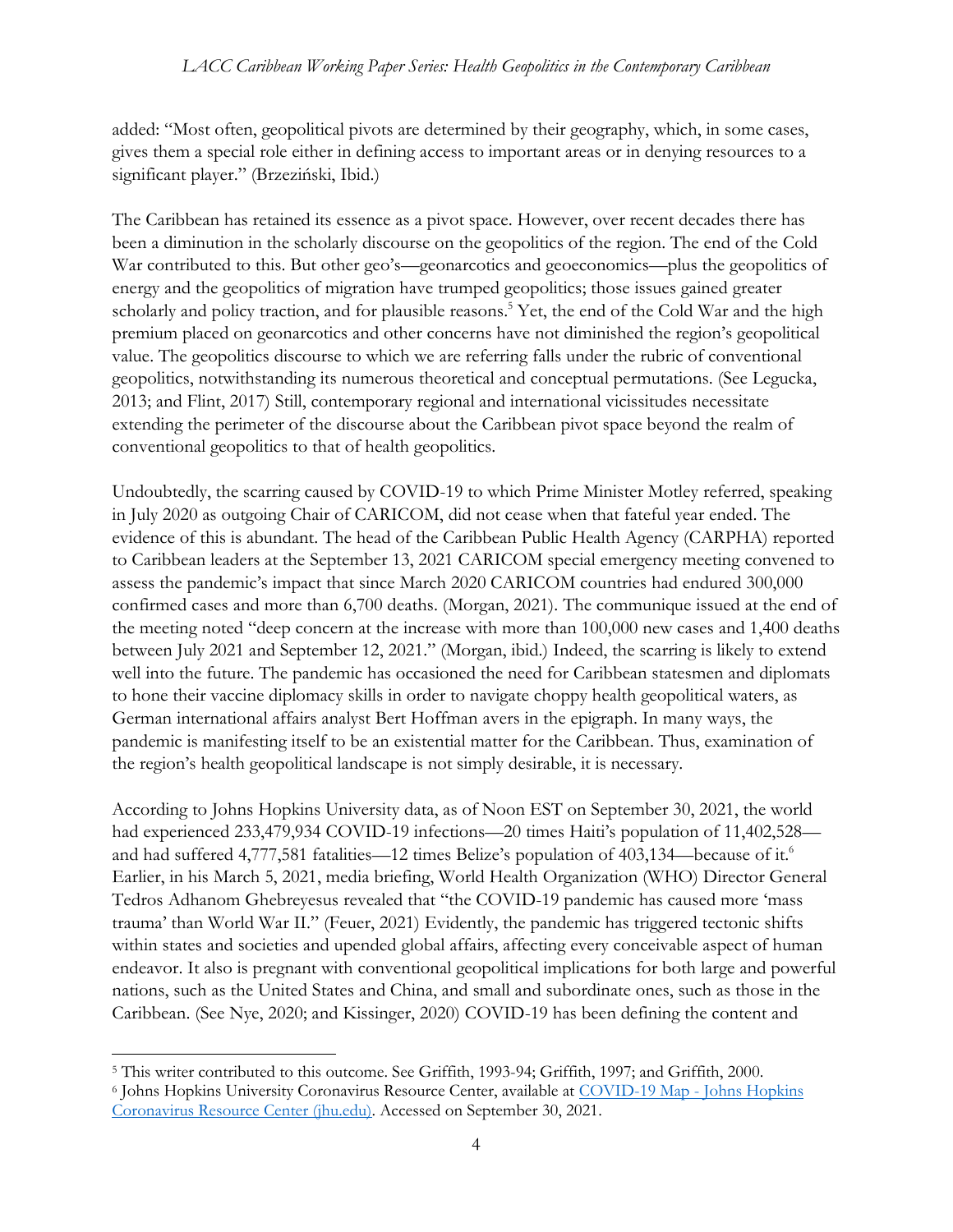added: "Most often, geopolitical pivots are determined by their geography, which, in some cases, gives them a special role either in defining access to important areas or in denying resources to a significant player." (Brzeziński, Ibid.)

The Caribbean has retained its essence as a pivot space. However, over recent decades there has been a diminution in the scholarly discourse on the geopolitics of the region. The end of the Cold War contributed to this. But other geo's—geonarcotics and geoeconomics—plus the geopolitics of energy and the geopolitics of migration have trumped geopolitics; those issues gained greater scholarly and policy traction, and for plausible reasons.<sup>5</sup> Yet, the end of the Cold War and the high premium placed on geonarcotics and other concerns have not diminished the region's geopolitical value. The geopolitics discourse to which we are referring falls under the rubric of conventional geopolitics, notwithstanding its numerous theoretical and conceptual permutations. (See Legucka, 2013; and Flint, 2017) Still, contemporary regional and international vicissitudes necessitate extending the perimeter of the discourse about the Caribbean pivot space beyond the realm of conventional geopolitics to that of health geopolitics.

Undoubtedly, the scarring caused by COVID-19 to which Prime Minister Motley referred, speaking in July 2020 as outgoing Chair of CARICOM, did not cease when that fateful year ended. The evidence of this is abundant. The head of the Caribbean Public Health Agency (CARPHA) reported to Caribbean leaders at the September 13, 2021 CARICOM special emergency meeting convened to assess the pandemic's impact that since March 2020 CARICOM countries had endured 300,000 confirmed cases and more than 6,700 deaths. (Morgan, 2021). The communique issued at the end of the meeting noted "deep concern at the increase with more than 100,000 new cases and 1,400 deaths between July 2021 and September 12, 2021." (Morgan, ibid.) Indeed, the scarring is likely to extend well into the future. The pandemic has occasioned the need for Caribbean statesmen and diplomats to hone their vaccine diplomacy skills in order to navigate choppy health geopolitical waters, as German international affairs analyst Bert Hoffman avers in the epigraph. In many ways, the pandemic is manifesting itself to be an existential matter for the Caribbean. Thus, examination of the region's health geopolitical landscape is not simply desirable, it is necessary.

According to Johns Hopkins University data, as of Noon EST on September 30, 2021, the world had experienced 233,479,934 COVID-19 infections—20 times Haiti's population of 11,402,528 and had suffered 4,777,581 fatalities—12 times Belize's population of 403,134—because of it.<sup>6</sup> Earlier, in his March 5, 2021, media briefing, World Health Organization (WHO) Director General Tedros Adhanom Ghebreyesus revealed that "the COVID-19 pandemic has caused more 'mass trauma' than World War II." (Feuer, 2021) Evidently, the pandemic has triggered tectonic shifts within states and societies and upended global affairs, affecting every conceivable aspect of human endeavor. It also is pregnant with conventional geopolitical implications for both large and powerful nations, such as the United States and China, and small and subordinate ones, such as those in the Caribbean. (See Nye, 2020; and Kissinger, 2020) COVID-19 has been defining the content and

<sup>5</sup> This writer contributed to this outcome. See Griffith, 1993-94; Griffith, 1997; and Griffith, 2000.

<sup>6</sup> Johns Hopkins University Coronavirus Resource Center, available at [COVID-19 Map -](https://coronavirus.jhu.edu/map.html) Johns Hopkins [Coronavirus Resource Center \(jhu.edu\).](https://coronavirus.jhu.edu/map.html) Accessed on September 30, 2021.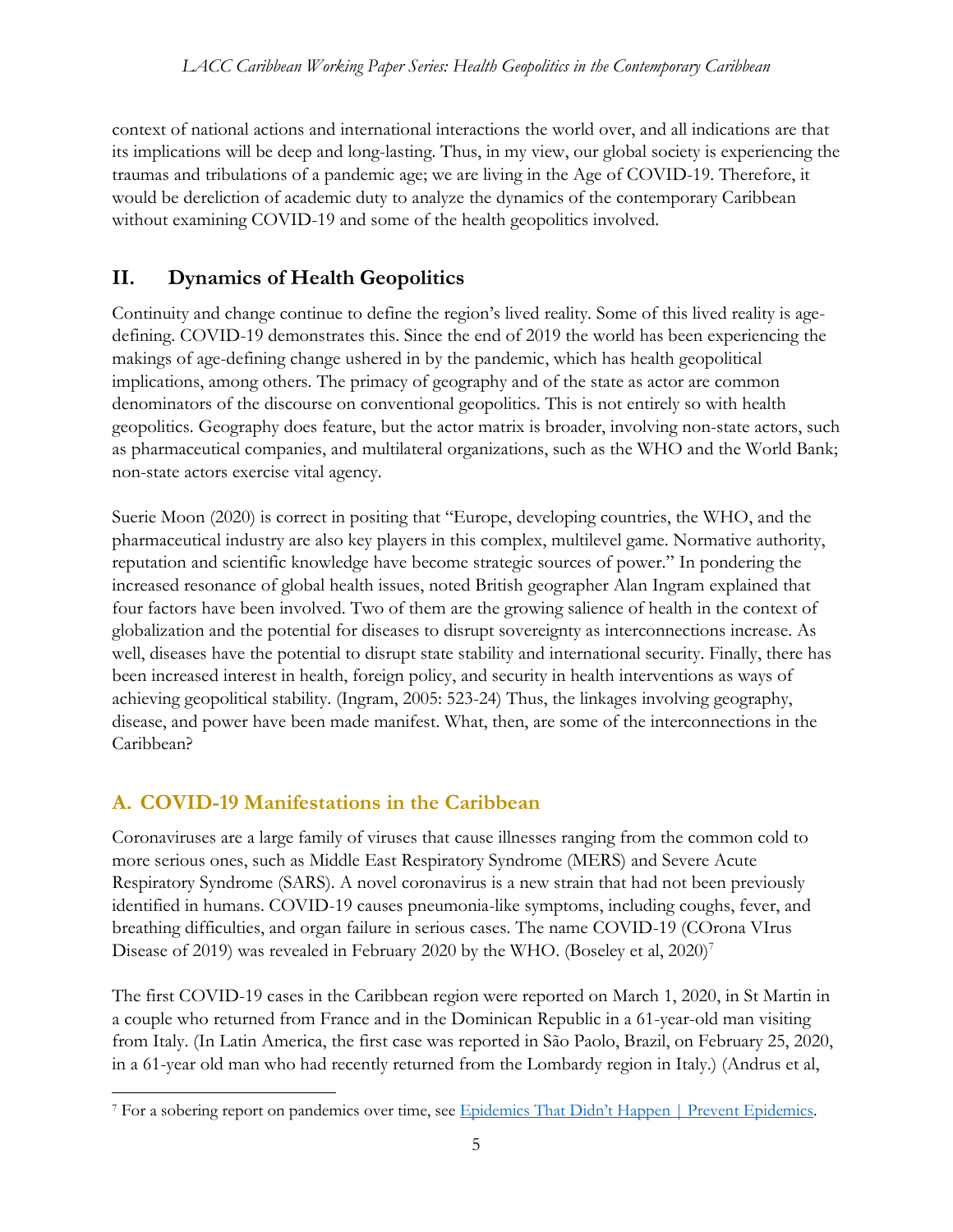context of national actions and international interactions the world over, and all indications are that its implications will be deep and long-lasting. Thus, in my view, our global society is experiencing the traumas and tribulations of a pandemic age; we are living in the Age of COVID-19. Therefore, it would be dereliction of academic duty to analyze the dynamics of the contemporary Caribbean without examining COVID-19 and some of the health geopolitics involved.

## **II. Dynamics of Health Geopolitics**

Continuity and change continue to define the region's lived reality. Some of this lived reality is agedefining. COVID-19 demonstrates this. Since the end of 2019 the world has been experiencing the makings of age-defining change ushered in by the pandemic, which has health geopolitical implications, among others. The primacy of geography and of the state as actor are common denominators of the discourse on conventional geopolitics. This is not entirely so with health geopolitics. Geography does feature, but the actor matrix is broader, involving non-state actors, such as pharmaceutical companies, and multilateral organizations, such as the WHO and the World Bank; non-state actors exercise vital agency.

Suerie Moon (2020) is correct in positing that "Europe, developing countries, the WHO, and the pharmaceutical industry are also key players in this complex, multilevel game. Normative authority, reputation and scientific knowledge have become strategic sources of power." In pondering the increased resonance of global health issues, noted British geographer Alan Ingram explained that four factors have been involved. Two of them are the growing salience of health in the context of globalization and the potential for diseases to disrupt sovereignty as interconnections increase. As well, diseases have the potential to disrupt state stability and international security. Finally, there has been increased interest in health, foreign policy, and security in health interventions as ways of achieving geopolitical stability. (Ingram, 2005: 523-24) Thus, the linkages involving geography, disease, and power have been made manifest. What, then, are some of the interconnections in the Caribbean?

## **A. COVID-19 Manifestations in the Caribbean**

Coronaviruses are a large family of viruses that cause illnesses ranging from the common cold to more serious ones, such as Middle East Respiratory Syndrome (MERS) and Severe Acute Respiratory Syndrome (SARS). A novel coronavirus is a new strain that had not been previously identified in humans. COVID-19 causes pneumonia-like symptoms, including coughs, fever, and breathing difficulties, and organ failure in serious cases. The name COVID-19 (COrona VIrus Disease of 2019) was revealed in February 2020 by the WHO. (Boseley et al,  $2020$ )<sup>7</sup>

The first COVID-19 cases in the Caribbean region were reported on March 1, 2020, in St Martin in a couple who returned from France and in the Dominican Republic in a 61-year-old man visiting from Italy. (In Latin America, the first case was reported in São Paolo, Brazil, on February 25, 2020, in a 61-year old man who had recently returned from the Lombardy region in Italy.) (Andrus et al,

<sup>7</sup> For a sobering report on pandemics over time, see [Epidemics That Didn't Happen | Preven](https://preventepidemics.org/epidemics-that-didnt-happen/?campaign_id=9&emc=edit_nn_20210430&instance_id=29989&nl=the-morning®i_id=97605394&segment_id=56889&te=1&user_id=4496efdea6279de72197ea4ca4333a97)t Epidemics.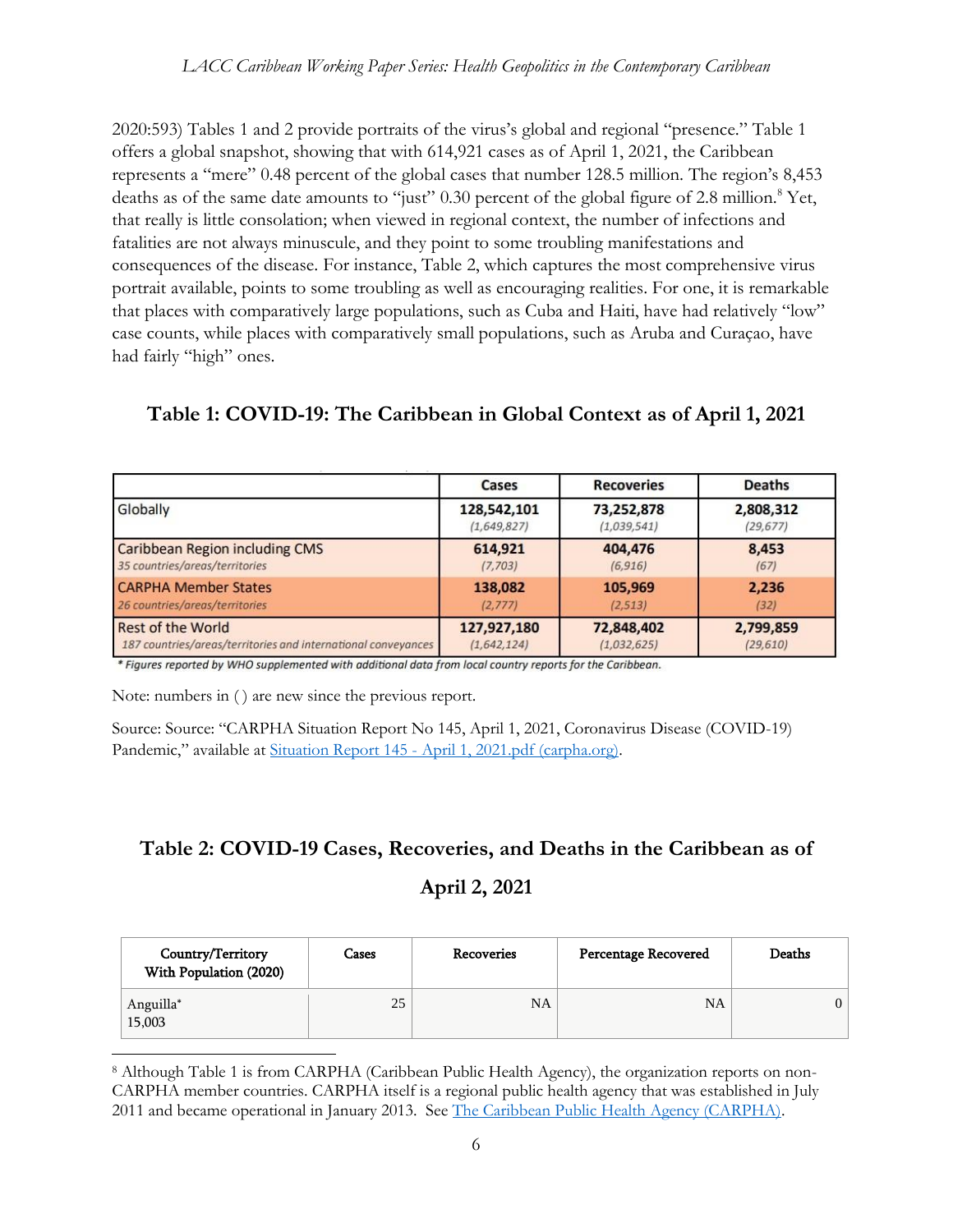2020:593) Tables 1 and 2 provide portraits of the virus's global and regional "presence." Table 1 offers a global snapshot, showing that with 614,921 cases as of April 1, 2021, the Caribbean represents a "mere" 0.48 percent of the global cases that number 128.5 million. The region's 8,453 deaths as of the same date amounts to "just" 0.30 percent of the global figure of 2.8 million.<sup>8</sup> Yet, that really is little consolation; when viewed in regional context, the number of infections and fatalities are not always minuscule, and they point to some troubling manifestations and consequences of the disease. For instance, Table 2, which captures the most comprehensive virus portrait available, points to some troubling as well as encouraging realities. For one, it is remarkable that places with comparatively large populations, such as Cuba and Haiti, have had relatively "low" case counts, while places with comparatively small populations, such as Aruba and Curaçao, have had fairly "high" ones.

## **Table 1: COVID-19: The Caribbean in Global Context as of April 1, 2021**

|                                                               | Cases       | <b>Recoveries</b> | <b>Deaths</b> |
|---------------------------------------------------------------|-------------|-------------------|---------------|
| Globally                                                      | 128,542,101 | 73,252,878        | 2,808,312     |
|                                                               | (1,649,827) | (1,039,541)       | (29, 677)     |
| <b>Caribbean Region including CMS</b>                         | 614,921     | 404,476           | 8,453         |
| 35 countries/areas/territories                                | (7,703)     | (6, 916)          | (67)          |
| <b>CARPHA Member States</b>                                   | 138,082     | 105,969           | 2,236         |
| 26 countries/areas/territories                                | (2, 777)    | (2, 513)          | (32)          |
| <b>Rest of the World</b>                                      | 127,927,180 | 72,848,402        | 2,799,859     |
| 187 countries/areas/territories and international conveyances | (1,642,124) | (1,032,625)       | (29, 610)     |

\* Figures reported by WHO supplemented with additional data from local country reports for the Caribbean.

Note: numbers in ( ) are new since the previous report.

Source: Source: "CARPHA Situation Report No 145, April 1, 2021, Coronavirus Disease (COVID-19) Pandemic," available at Situation Report 145 - [April 1, 2021.pdf \(carpha.org\).](https://carpha.org/Portals/0/Documents/COVID%20Situation%20Reports/Situation%20Report%20145%20-%20April%201,%202021.pdf)

#### **Table 2: COVID-19 Cases, Recoveries, and Deaths in the Caribbean as of**

#### **April 2, 2021**

| Country/Territory<br>With Population (2020) | Cases | Recoveries | <b>Percentage Recovered</b> | Deaths |
|---------------------------------------------|-------|------------|-----------------------------|--------|
| Anguilla*<br>15,003                         | 25    | NA         | <b>NA</b>                   |        |

<sup>8</sup> Although Table 1 is from CARPHA (Caribbean Public Health Agency), the organization reports on non-CARPHA member countries. CARPHA itself is a regional public health agency that was established in July 2011 and became operational in January 2013. Se[e The Caribbean Public Health Agency \(CARPHA\).](https://www.carpha.org/)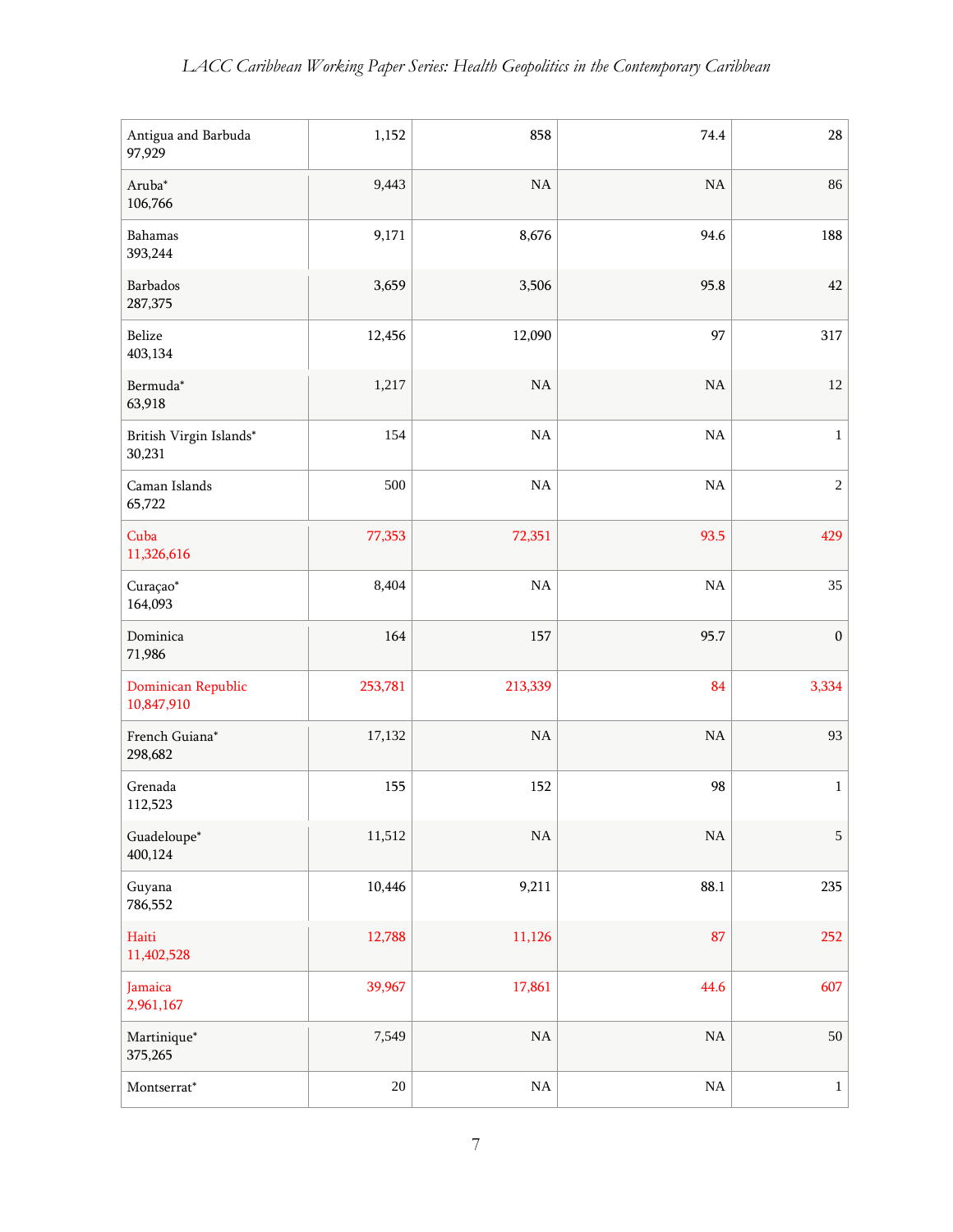| Antigua and Barbuda<br>97,929     | 1,152   | 858      | 74.4     | $28\,$           |
|-----------------------------------|---------|----------|----------|------------------|
| Aruba*<br>106,766                 | 9,443   | NA       | NA       | 86               |
| Bahamas<br>393,244                | 9,171   | 8,676    | 94.6     | 188              |
| Barbados<br>287,375               | 3,659   | 3,506    | 95.8     | 42               |
| Belize<br>403,134                 | 12,456  | 12,090   | 97       | 317              |
| Bermuda*<br>63,918                | 1,217   | NA       | $\rm NA$ | 12               |
| British Virgin Islands*<br>30,231 | 154     | NA       | $\rm NA$ | $\,1$            |
| Caman Islands<br>65,722           | 500     | $\rm NA$ | $\rm NA$ | $\boldsymbol{2}$ |
| Cuba<br>11,326,616                | 77,353  | 72,351   | 93.5     | 429              |
| Curaçao*<br>164,093               | 8,404   | $\rm NA$ | $\rm NA$ | 35               |
| Dominica<br>71,986                | 164     | 157      | 95.7     | $\boldsymbol{0}$ |
| Dominican Republic<br>10,847,910  | 253,781 | 213,339  | 84       | 3,334            |
| French Guiana*<br>298,682         | 17,132  | NA       | NA       | 93               |
| Grenada<br>112,523                | 155     | 152      | 98       | $\,1$            |
| Guadeloupe*<br>400,124            | 11,512  | $\rm NA$ | $\rm NA$ | 5                |
| Guyana<br>786,552                 | 10,446  | 9,211    | 88.1     | 235              |
| Haiti<br>11,402,528               | 12,788  | 11,126   | 87       | 252              |
| Jamaica<br>2,961,167              | 39,967  | 17,861   | 44.6     | 607              |
| Martinique*<br>375,265            | 7,549   | $\rm NA$ | $\rm NA$ | $50\,$           |
| $\rm Montserrat^*$                | $20\,$  | $\rm NA$ | $\rm NA$ | $1\,$            |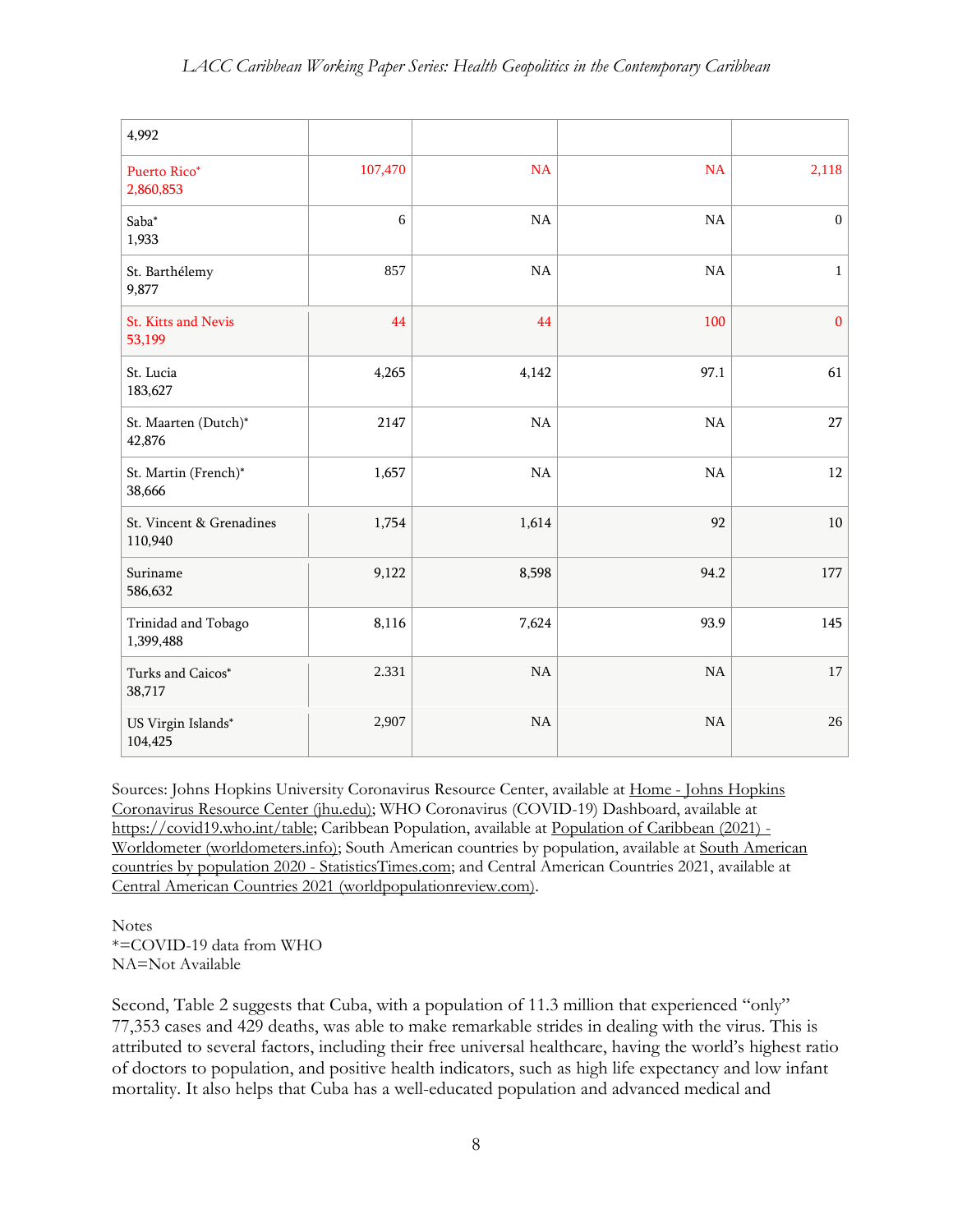| 4,992                               |         |             |          |                  |
|-------------------------------------|---------|-------------|----------|------------------|
| Puerto Rico*<br>2,860,853           | 107,470 | <b>NA</b>   | NA       | 2,118            |
| $Saba*$<br>1,933                    | $6\,$   | $_{\rm NA}$ | NA       | $\boldsymbol{0}$ |
| St. Barthélemy<br>9,877             | 857     | NA          | $\rm NA$ | $\,1$            |
| St. Kitts and Nevis<br>53,199       | 44      | 44          | 100      | $\mathbf{0}$     |
| St. Lucia<br>183,627                | 4,265   | 4,142       | 97.1     | 61               |
| St. Maarten (Dutch)*<br>42,876      | 2147    | $\rm NA$    | $\rm NA$ | 27               |
| St. Martin (French)*<br>38,666      | 1,657   | $\rm NA$    | $\rm NA$ | 12               |
| St. Vincent & Grenadines<br>110,940 | 1,754   | 1,614       | 92       | $10\,$           |
| Suriname<br>586,632                 | 9,122   | 8,598       | 94.2     | 177              |
| Trinidad and Tobago<br>1,399,488    | 8,116   | 7,624       | 93.9     | 145              |
| Turks and Caicos*<br>38,717         | 2.331   | $\rm NA$    | $\rm NA$ | 17               |
| US Virgin Islands*<br>104,425       | 2,907   | <b>NA</b>   | $\rm NA$ | $26\,$           |

Sources: Johns Hopkins University Coronavirus Resource Center, available at Home - Johns [Hopkins](https://coronavirus.jhu.edu/) [Coronavirus](https://coronavirus.jhu.edu/) Resource Center (jhu.edu); WHO Coronavirus (COVID-19) Dashboard, available at [https://covid19.who.int/table;](https://covid19.who.int/table) Caribbean Population, available at [Population](https://www.worldometers.info/world-population/caribbean-population/) of Caribbean (2021) - Worldometer [\(worldometers.info\);](https://www.worldometers.info/world-population/caribbean-population/) South American countries by population, available at South [American](https://statisticstimes.com/demographics/south-american-countries-by-population.php) countries by population 2020 - [StatisticsTimes.com;](https://statisticstimes.com/demographics/south-american-countries-by-population.php) and Central American Countries 2021, available at Central American Countries 2021 [\(worldpopulationreview.com\).](https://worldpopulationreview.com/country-rankings/central-american-countries)

**Notes** \*=COVID-19 data from WHO NA=Not Available

Second, Table 2 suggests that Cuba, with a population of 11.3 million that experienced "only" 77,353 cases and 429 deaths, was able to make remarkable strides in dealing with the virus. This is attributed to several factors, including their free universal healthcare, having the world's highest ratio of doctors to population, and positive health indicators, such as high life expectancy and low infant mortality. It also helps that Cuba has a well-educated population and advanced medical and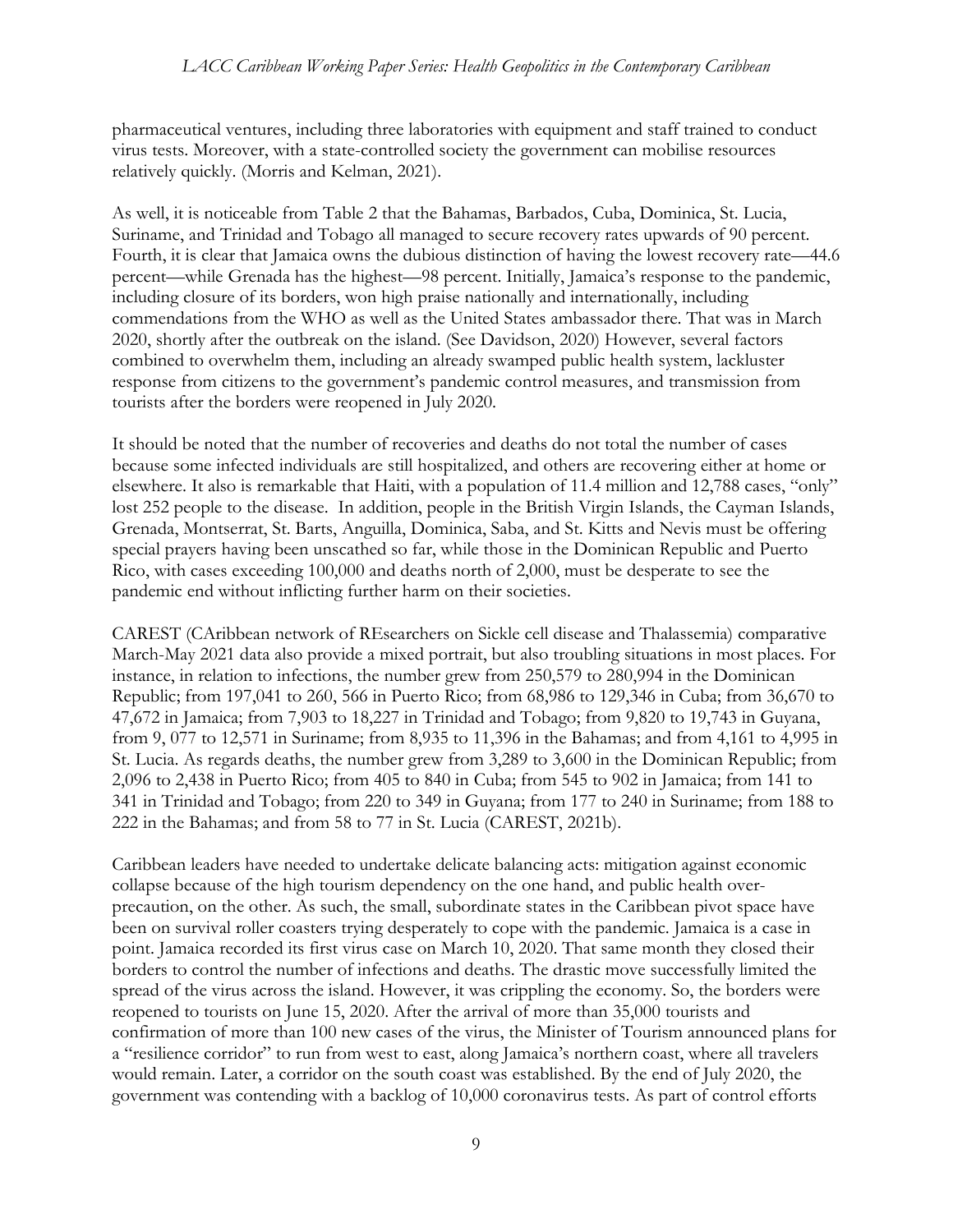pharmaceutical ventures, including three laboratories with equipment and staff trained to conduct virus tests. Moreover, with a state-controlled society the government can mobilise resources relatively quickly. (Morris and Kelman, 2021).

As well, it is noticeable from Table 2 that the Bahamas, Barbados, Cuba, Dominica, St. Lucia, Suriname, and Trinidad and Tobago all managed to secure recovery rates upwards of 90 percent. Fourth, it is clear that Jamaica owns the dubious distinction of having the lowest recovery rate—44.6 percent—while Grenada has the highest—98 percent. Initially, Jamaica's response to the pandemic, including closure of its borders, won high praise nationally and internationally, including commendations from the WHO as well as the United States ambassador there. That was in March 2020, shortly after the outbreak on the island. (See Davidson, 2020) However, several factors combined to overwhelm them, including an already swamped public health system, lackluster response from citizens to the government's pandemic control measures, and transmission from tourists after the borders were reopened in July 2020.

It should be noted that the number of recoveries and deaths do not total the number of cases because some infected individuals are still hospitalized, and others are recovering either at home or elsewhere. It also is remarkable that Haiti, with a population of 11.4 million and 12,788 cases, "only" lost 252 people to the disease. In addition, people in the British Virgin Islands, the Cayman Islands, Grenada, Montserrat, St. Barts, Anguilla, Dominica, Saba, and St. Kitts and Nevis must be offering special prayers having been unscathed so far, while those in the Dominican Republic and Puerto Rico, with cases exceeding 100,000 and deaths north of 2,000, must be desperate to see the pandemic end without inflicting further harm on their societies.

CAREST (CAribbean network of REsearchers on Sickle cell disease and Thalassemia) comparative March-May 2021 data also provide a mixed portrait, but also troubling situations in most places. For instance, in relation to infections, the number grew from 250,579 to 280,994 in the Dominican Republic; from 197,041 to 260, 566 in Puerto Rico; from 68,986 to 129,346 in Cuba; from 36,670 to 47,672 in Jamaica; from 7,903 to 18,227 in Trinidad and Tobago; from 9,820 to 19,743 in Guyana, from 9, 077 to 12,571 in Suriname; from 8,935 to 11,396 in the Bahamas; and from 4,161 to 4,995 in St. Lucia. As regards deaths, the number grew from 3,289 to 3,600 in the Dominican Republic; from 2,096 to 2,438 in Puerto Rico; from 405 to 840 in Cuba; from 545 to 902 in Jamaica; from 141 to 341 in Trinidad and Tobago; from 220 to 349 in Guyana; from 177 to 240 in Suriname; from 188 to 222 in the Bahamas; and from 58 to 77 in St. Lucia (CAREST, 2021b).

Caribbean leaders have needed to undertake delicate balancing acts: mitigation against economic collapse because of the high tourism dependency on the one hand, and public health overprecaution, on the other. As such, the small, subordinate states in the Caribbean pivot space have been on survival roller coasters trying desperately to cope with the pandemic. Jamaica is a case in point. Jamaica recorded its first virus case on March 10, 2020. That same month they closed their borders to control the number of infections and deaths. The drastic move successfully limited the spread of the virus across the island. However, it was crippling the economy. So, the borders were reopened to tourists on June 15, 2020. After the arrival of more than 35,000 tourists and confirmation of more than 100 new cases of the virus, the Minister of Tourism announced plans for a "resilience corridor" to run from west to east, along Jamaica's northern coast, where all travelers would remain. Later, a corridor on the south coast was established. By the end of July 2020, the government was contending with a backlog of 10,000 coronavirus tests. As part of control efforts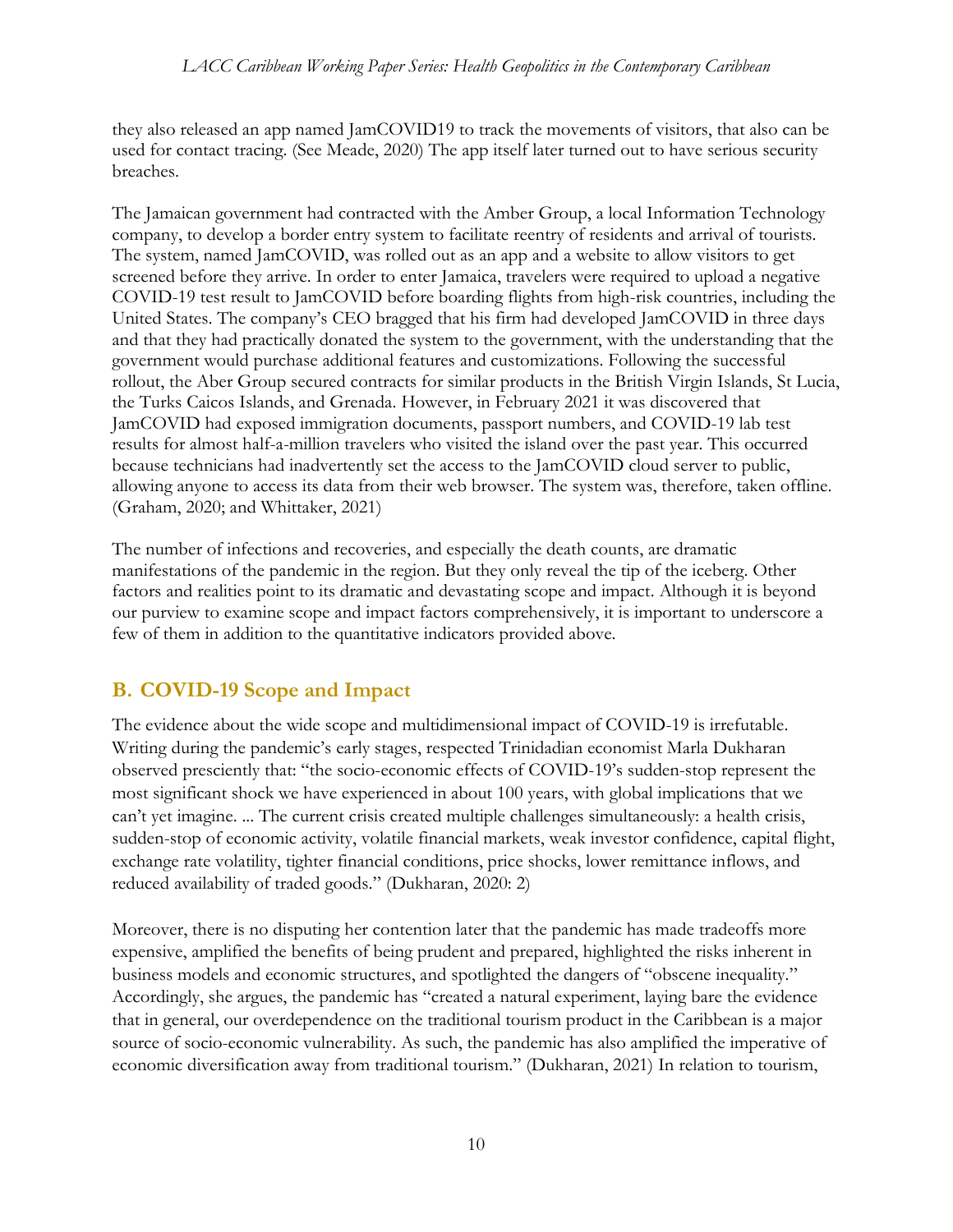they also released an app named JamCOVID19 to track the movements of visitors, that also can be used for contact tracing. (See Meade, 2020) The app itself later turned out to have serious security breaches.

The Jamaican government had contracted with the Amber Group, a local Information Technology company, to develop a border entry system to facilitate reentry of residents and arrival of tourists. The system, named JamCOVID, was rolled out as an app and a website to allow visitors to get screened before they arrive. In order to enter Jamaica, travelers were required to upload a negative COVID-19 test result to JamCOVID before boarding flights from high-risk countries, including the United States. The company's CEO bragged that his firm had developed JamCOVID in three days and that they had practically donated the system to the government, with the understanding that the government would purchase additional features and customizations. Following the successful rollout, the Aber Group secured contracts for similar products in the British Virgin Islands, St Lucia, the Turks Caicos Islands, and Grenada. However, in February 2021 it was discovered that JamCOVID had exposed immigration documents, passport numbers, and COVID-19 lab test results for almost half-a-million travelers who visited the island over the past year. This occurred because technicians had inadvertently set the access to the JamCOVID cloud server to public, allowing anyone to access its data from their web browser. The system was, therefore, taken offline. (Graham, 2020; and Whittaker, 2021)

The number of infections and recoveries, and especially the death counts, are dramatic manifestations of the pandemic in the region. But they only reveal the tip of the iceberg. Other factors and realities point to its dramatic and devastating scope and impact. Although it is beyond our purview to examine scope and impact factors comprehensively, it is important to underscore a few of them in addition to the quantitative indicators provided above.

## **B. COVID-19 Scope and Impact**

The evidence about the wide scope and multidimensional impact of COVID-19 is irrefutable. Writing during the pandemic's early stages, respected Trinidadian economist Marla Dukharan observed presciently that: "the socio-economic effects of COVID-19's sudden-stop represent the most significant shock we have experienced in about 100 years, with global implications that we can't yet imagine. ... The current crisis created multiple challenges simultaneously: a health crisis, sudden-stop of economic activity, volatile financial markets, weak investor confidence, capital flight, exchange rate volatility, tighter financial conditions, price shocks, lower remittance inflows, and reduced availability of traded goods." (Dukharan, 2020: 2)

Moreover, there is no disputing her contention later that the pandemic has made tradeoffs more expensive, amplified the benefits of being prudent and prepared, highlighted the risks inherent in business models and economic structures, and spotlighted the dangers of "obscene inequality." Accordingly, she argues, the pandemic has "created a natural experiment, laying bare the evidence that in general, our overdependence on the traditional tourism product in the Caribbean is a major source of socio-economic vulnerability. As such, the pandemic has also amplified the imperative of economic diversification away from traditional tourism." (Dukharan, 2021) In relation to tourism,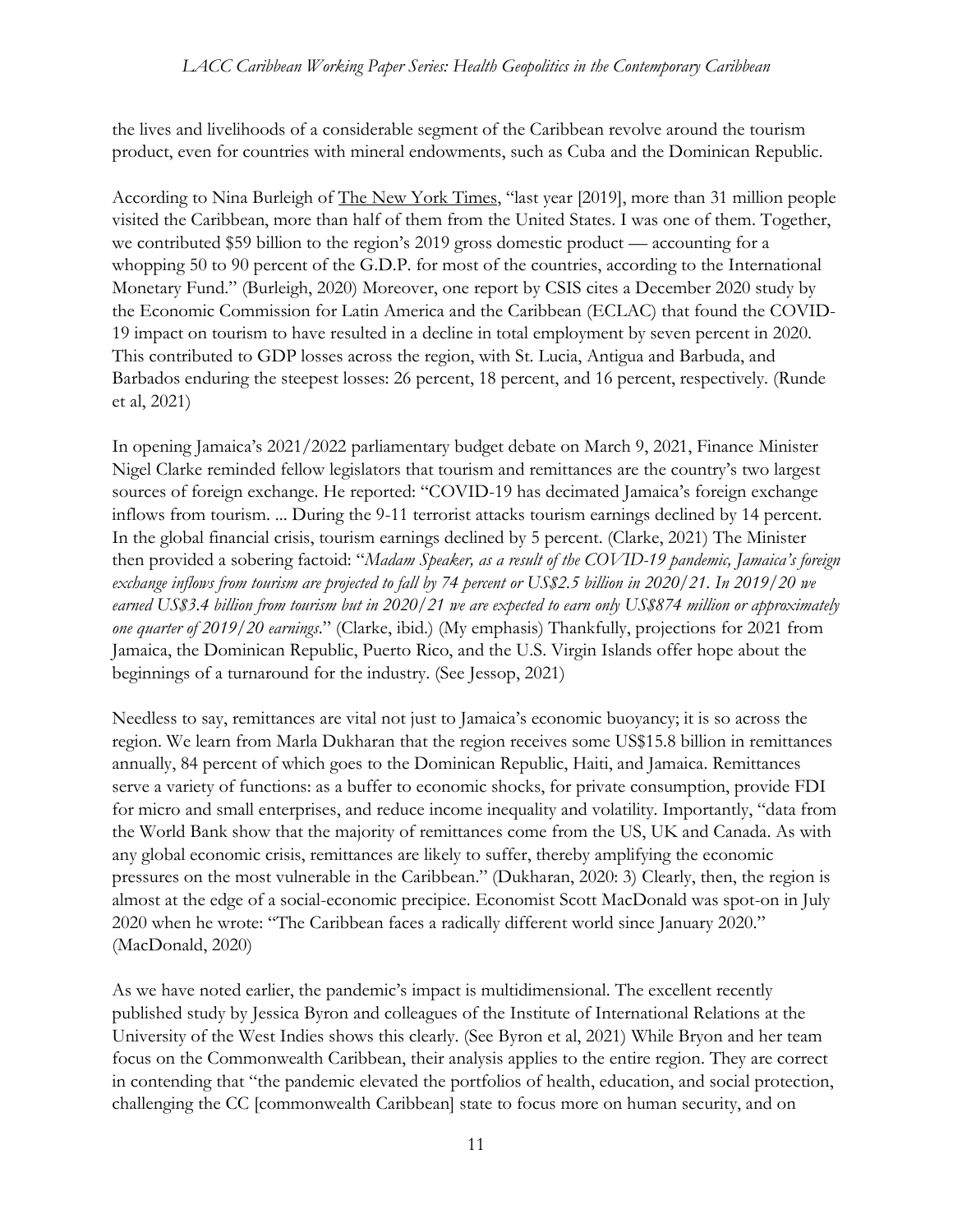the lives and livelihoods of a considerable segment of the Caribbean revolve around the tourism product, even for countries with mineral endowments, such as Cuba and the Dominican Republic.

According to Nina Burleigh of The New York Times, "last year [2019], more than 31 million people visited the Caribbean, more than half of them from the United States. I was one of them. Together, we contributed \$59 billion to the region's 2019 gross domestic product — accounting for a whopping 50 to 90 percent of the G.D.P. for most of the countries, according to the International Monetary Fund." (Burleigh, 2020) Moreover, one report by CSIS cites a December 2020 study by the Economic Commission for Latin America and the Caribbean (ECLAC) that found the COVID-19 impact on tourism to have resulted in a decline in total employment by seven percent in 2020. This contributed to GDP losses across the region, with St. Lucia, Antigua and Barbuda, and Barbados enduring the steepest losses: 26 percent, 18 percent, and 16 percent, respectively. (Runde et al, 2021)

In opening Jamaica's 2021/2022 parliamentary budget debate on March 9, 2021, Finance Minister Nigel Clarke reminded fellow legislators that tourism and remittances are the country's two largest sources of foreign exchange. He reported: "COVID-19 has decimated Jamaica's foreign exchange inflows from tourism. ... During the 9-11 terrorist attacks tourism earnings declined by 14 percent. In the global financial crisis, tourism earnings declined by 5 percent. (Clarke, 2021) The Minister then provided a sobering factoid: "*Madam Speaker, as a result of the COVID-19 pandemic, Jamaica's foreign exchange inflows from tourism are projected to fall by 74 percent or US\$2.5 billion in 2020/21. In 2019/20 we earned US\$3.4 billion from tourism but in 2020/21 we are expected to earn only US\$874 million or approximately one quarter of 2019/20 earnings*." (Clarke, ibid.) (My emphasis) Thankfully, projections for 2021 from Jamaica, the Dominican Republic, Puerto Rico, and the U.S. Virgin Islands offer hope about the beginnings of a turnaround for the industry. (See Jessop, 2021)

Needless to say, remittances are vital not just to Jamaica's economic buoyancy; it is so across the region. We learn from Marla Dukharan that the region receives some US\$15.8 billion in remittances annually, 84 percent of which goes to the Dominican Republic, Haiti, and Jamaica. Remittances serve a variety of functions: as a buffer to economic shocks, for private consumption, provide FDI for micro and small enterprises, and reduce income inequality and volatility. Importantly, "data from the World Bank show that the majority of remittances come from the US, UK and Canada. As with any global economic crisis, remittances are likely to suffer, thereby amplifying the economic pressures on the most vulnerable in the Caribbean." (Dukharan, 2020: 3) Clearly, then, the region is almost at the edge of a social-economic precipice. Economist Scott MacDonald was spot-on in July 2020 when he wrote: "The Caribbean faces a radically different world since January 2020." (MacDonald, 2020)

As we have noted earlier, the pandemic's impact is multidimensional. The excellent recently published study by Jessica Byron and colleagues of the Institute of International Relations at the University of the West Indies shows this clearly. (See Byron et al, 2021) While Bryon and her team focus on the Commonwealth Caribbean, their analysis applies to the entire region. They are correct in contending that "the pandemic elevated the portfolios of health, education, and social protection, challenging the CC [commonwealth Caribbean] state to focus more on human security, and on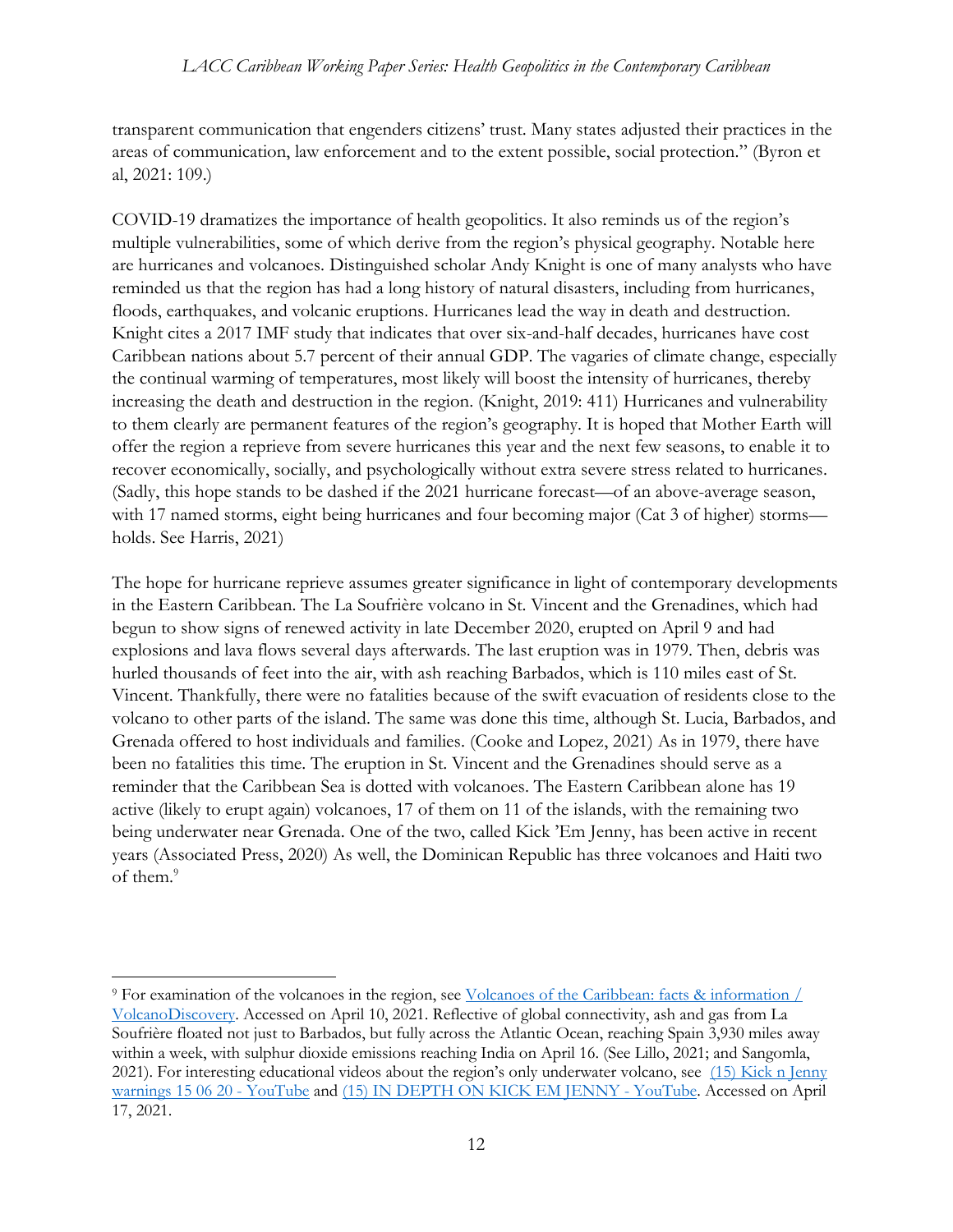transparent communication that engenders citizens' trust. Many states adjusted their practices in the areas of communication, law enforcement and to the extent possible, social protection." (Byron et al, 2021: 109.)

COVID-19 dramatizes the importance of health geopolitics. It also reminds us of the region's multiple vulnerabilities, some of which derive from the region's physical geography. Notable here are hurricanes and volcanoes. Distinguished scholar Andy Knight is one of many analysts who have reminded us that the region has had a long history of natural disasters, including from hurricanes, floods, earthquakes, and volcanic eruptions. Hurricanes lead the way in death and destruction. Knight cites a 2017 IMF study that indicates that over six-and-half decades, hurricanes have cost Caribbean nations about 5.7 percent of their annual GDP. The vagaries of climate change, especially the continual warming of temperatures, most likely will boost the intensity of hurricanes, thereby increasing the death and destruction in the region. (Knight, 2019: 411) Hurricanes and vulnerability to them clearly are permanent features of the region's geography. It is hoped that Mother Earth will offer the region a reprieve from severe hurricanes this year and the next few seasons, to enable it to recover economically, socially, and psychologically without extra severe stress related to hurricanes. (Sadly, this hope stands to be dashed if the 2021 hurricane forecast—of an above-average season, with 17 named storms, eight being hurricanes and four becoming major (Cat 3 of higher) storms holds. See Harris, 2021)

The hope for hurricane reprieve assumes greater significance in light of contemporary developments in the Eastern Caribbean. The La Soufrière volcano in St. Vincent and the Grenadines, which had begun to show signs of renewed activity in late December 2020, erupted on April 9 and had explosions and lava flows several days afterwards. The last eruption was in 1979. Then, debris was hurled thousands of feet into the air, with ash reaching Barbados, which is 110 miles east of St. Vincent. Thankfully, there were no fatalities because of the swift evacuation of residents close to the volcano to other parts of the island. The same was done this time, although St. Lucia, Barbados, and Grenada offered to host individuals and families. (Cooke and Lopez, 2021) As in 1979, there have been no fatalities this time. The eruption in St. Vincent and the Grenadines should serve as a reminder that the Caribbean Sea is dotted with volcanoes. The Eastern Caribbean alone has 19 active (likely to erupt again) volcanoes, 17 of them on 11 of the islands, with the remaining two being underwater near Grenada. One of the two, called Kick 'Em Jenny, has been active in recent years (Associated Press, 2020) As well, the Dominican Republic has three volcanoes and Haiti two of them. 9

<sup>9</sup> For examination of the volcanoes in the region, see [Volcanoes of the Caribbean: facts & information /](https://www.volcanodiscovery.com/carribean.html)  [VolcanoDiscovery.](https://www.volcanodiscovery.com/carribean.html) Accessed on April 10, 2021. Reflective of global connectivity, ash and gas from La Soufrière floated not just to Barbados, but fully across the Atlantic Ocean, reaching Spain 3,930 miles away within a week, with sulphur dioxide emissions reaching India on April 16. (See Lillo, 2021; and Sangomla, 2021). For interesting educational videos about the region's only underwater volcano, see [\(15\) Kick n Jenny](https://www.youtube.com/watch?v=tqK9P6Dp7Jg)  [warnings 15 06 20 -](https://www.youtube.com/watch?v=tqK9P6Dp7Jg) YouTube and [\(15\) IN DEPTH ON KICK EM JENNY -](https://www.youtube.com/watch?v=YMDKEZGZhZM) YouTube. Accessed on April 17, 2021.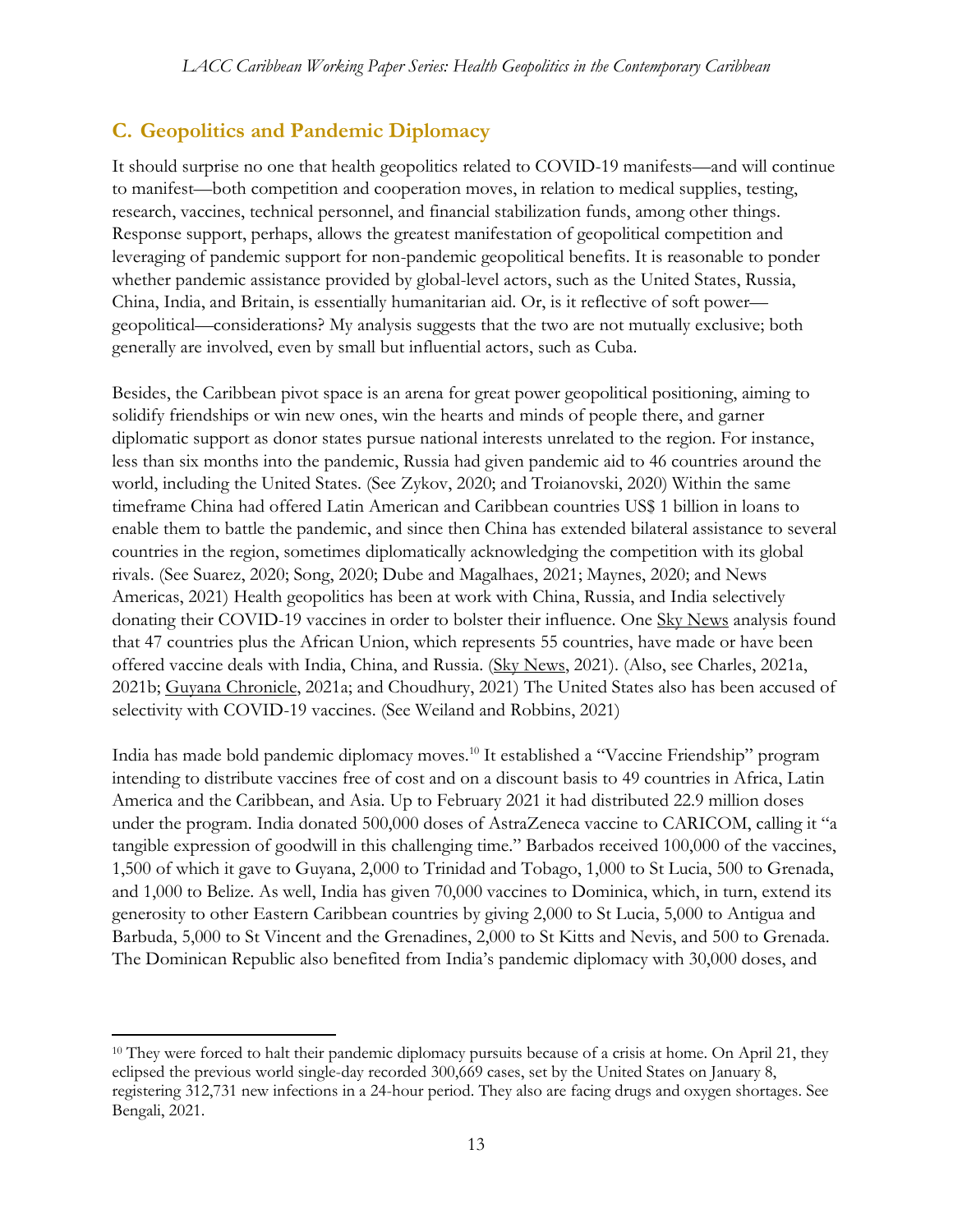## **C. Geopolitics and Pandemic Diplomacy**

It should surprise no one that health geopolitics related to COVID-19 manifests—and will continue to manifest—both competition and cooperation moves, in relation to medical supplies, testing, research, vaccines, technical personnel, and financial stabilization funds, among other things. Response support, perhaps, allows the greatest manifestation of geopolitical competition and leveraging of pandemic support for non-pandemic geopolitical benefits. It is reasonable to ponder whether pandemic assistance provided by global-level actors, such as the United States, Russia, China, India, and Britain, is essentially humanitarian aid. Or, is it reflective of soft power geopolitical—considerations? My analysis suggests that the two are not mutually exclusive; both generally are involved, even by small but influential actors, such as Cuba.

Besides, the Caribbean pivot space is an arena for great power geopolitical positioning, aiming to solidify friendships or win new ones, win the hearts and minds of people there, and garner diplomatic support as donor states pursue national interests unrelated to the region. For instance, less than six months into the pandemic, Russia had given pandemic aid to 46 countries around the world, including the United States. (See Zykov, 2020; and Troianovski, 2020) Within the same timeframe China had offered Latin American and Caribbean countries US\$ 1 billion in loans to enable them to battle the pandemic, and since then China has extended bilateral assistance to several countries in the region, sometimes diplomatically acknowledging the competition with its global rivals. (See Suarez, 2020; Song, 2020; Dube and Magalhaes, 2021; Maynes, 2020; and News Americas, 2021) Health geopolitics has been at work with China, Russia, and India selectively donating their COVID-19 vaccines in order to bolster their influence. One Sky News analysis found that 47 countries plus the African Union, which represents 55 countries, have made or have been offered vaccine deals with India, China, and Russia. (Sky News, 2021). (Also, see Charles, 2021a, 2021b; Guyana Chronicle, 2021a; and Choudhury, 2021) The United States also has been accused of selectivity with COVID-19 vaccines. (See Weiland and Robbins, 2021)

India has made bold pandemic diplomacy moves.<sup>10</sup> It established a "Vaccine Friendship" program intending to distribute vaccines free of cost and on a discount basis to 49 countries in Africa, Latin America and the Caribbean, and Asia. Up to February 2021 it had distributed 22.9 million doses under the program. India donated 500,000 doses of AstraZeneca vaccine to CARICOM, calling it "a tangible expression of goodwill in this challenging time." Barbados received 100,000 of the vaccines, 1,500 of which it gave to Guyana, 2,000 to Trinidad and Tobago, 1,000 to St Lucia, 500 to Grenada, and 1,000 to Belize. As well, India has given 70,000 vaccines to Dominica, which, in turn, extend its generosity to other Eastern Caribbean countries by giving 2,000 to St Lucia, 5,000 to Antigua and Barbuda, 5,000 to St Vincent and the Grenadines, 2,000 to St Kitts and Nevis, and 500 to Grenada. The Dominican Republic also benefited from India's pandemic diplomacy with 30,000 doses, and

<sup>&</sup>lt;sup>10</sup> They were forced to halt their pandemic diplomacy pursuits because of a crisis at home. On April 21, they eclipsed the previous world single-day recorded 300,669 cases, set by the United States on January 8, registering 312,731 new infections in a 24-hour period. They also are facing drugs and oxygen shortages. See Bengali, 2021.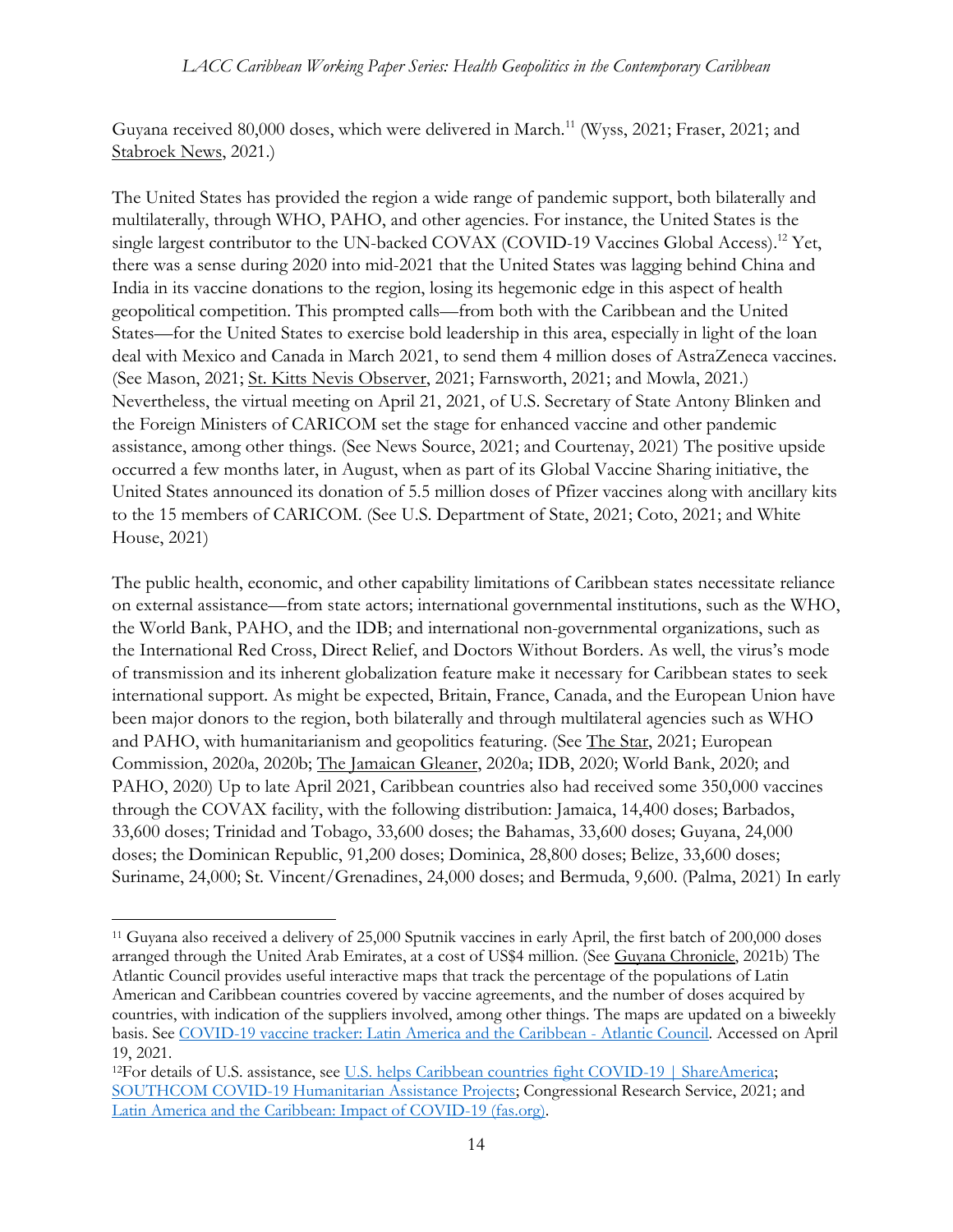Guyana received 80,000 doses, which were delivered in March.<sup>11</sup> (Wyss, 2021; Fraser, 2021; and Stabroek News, 2021.)

The United States has provided the region a wide range of pandemic support, both bilaterally and multilaterally, through WHO, PAHO, and other agencies. For instance, the United States is the single largest contributor to the UN-backed COVAX (COVID-19 Vaccines Global Access).<sup>12</sup> Yet, there was a sense during 2020 into mid-2021 that the United States was lagging behind China and India in its vaccine donations to the region, losing its hegemonic edge in this aspect of health geopolitical competition. This prompted calls—from both with the Caribbean and the United States—for the United States to exercise bold leadership in this area, especially in light of the loan deal with Mexico and Canada in March 2021, to send them 4 million doses of AstraZeneca vaccines. (See Mason, 2021; St. Kitts Nevis Observer, 2021; Farnsworth, 2021; and Mowla, 2021.) Nevertheless, the virtual meeting on April 21, 2021, of U.S. Secretary of State Antony Blinken and the Foreign Ministers of CARICOM set the stage for enhanced vaccine and other pandemic assistance, among other things. (See News Source, 2021; and Courtenay, 2021) The positive upside occurred a few months later, in August, when as part of its Global Vaccine Sharing initiative, the United States announced its donation of 5.5 million doses of Pfizer vaccines along with ancillary kits to the 15 members of CARICOM. (See U.S. Department of State, 2021; Coto, 2021; and White House, 2021)

The public health, economic, and other capability limitations of Caribbean states necessitate reliance on external assistance—from state actors; international governmental institutions, such as the WHO, the World Bank, PAHO, and the IDB; and international non-governmental organizations, such as the International Red Cross, Direct Relief, and Doctors Without Borders. As well, the virus's mode of transmission and its inherent globalization feature make it necessary for Caribbean states to seek international support. As might be expected, Britain, France, Canada, and the European Union have been major donors to the region, both bilaterally and through multilateral agencies such as WHO and PAHO, with humanitarianism and geopolitics featuring. (See The Star, 2021; European Commission, 2020a, 2020b; The Jamaican Gleaner, 2020a; IDB, 2020; World Bank, 2020; and PAHO, 2020) Up to late April 2021, Caribbean countries also had received some 350,000 vaccines through the COVAX facility, with the following distribution: Jamaica, 14,400 doses; Barbados, 33,600 doses; Trinidad and Tobago, 33,600 doses; the Bahamas, 33,600 doses; Guyana, 24,000 doses; the Dominican Republic, 91,200 doses; Dominica, 28,800 doses; Belize, 33,600 doses; Suriname, 24,000; St. Vincent/Grenadines, 24,000 doses; and Bermuda, 9,600. (Palma, 2021) In early

<sup>11</sup> Guyana also received a delivery of 25,000 Sputnik vaccines in early April, the first batch of 200,000 doses arranged through the United Arab Emirates, at a cost of US\$4 million. (See Guyana Chronicle, 2021b) The Atlantic Council provides useful interactive maps that track the percentage of the populations of Latin American and Caribbean countries covered by vaccine agreements, and the number of doses acquired by countries, with indication of the suppliers involved, among other things. The maps are updated on a biweekly basis. See [COVID-19 vaccine tracker: Latin America and the Caribbean -](https://www.atlanticcouncil.org/in-depth-research-reports/covid-19-vaccine-tracker-latin-america-and-the-caribbean/) Atlantic Council. Accessed on April 19, 2021.

<sup>12</sup>For details of U.S. assistance, see [U.S. helps Caribbean countries fight COVID-19 | ShareAmerica;](https://share.america.gov/u-s-helps-caribbean-countries-fight-covid-19/) [SOUTHCOM COVID-19 Humanitarian Assistance Projects;](https://www.southcom.mil/Media/Special-Coverage/SOUTHCOM-COVID-19-Humanitarian-Assistance-Projects/) Congressional Research Service, 2021; and [Latin America and the Caribbean: Impact of COVID-19 \(fas.org\).](https://fas.org/sgp/crs/row/IF11581.pdf)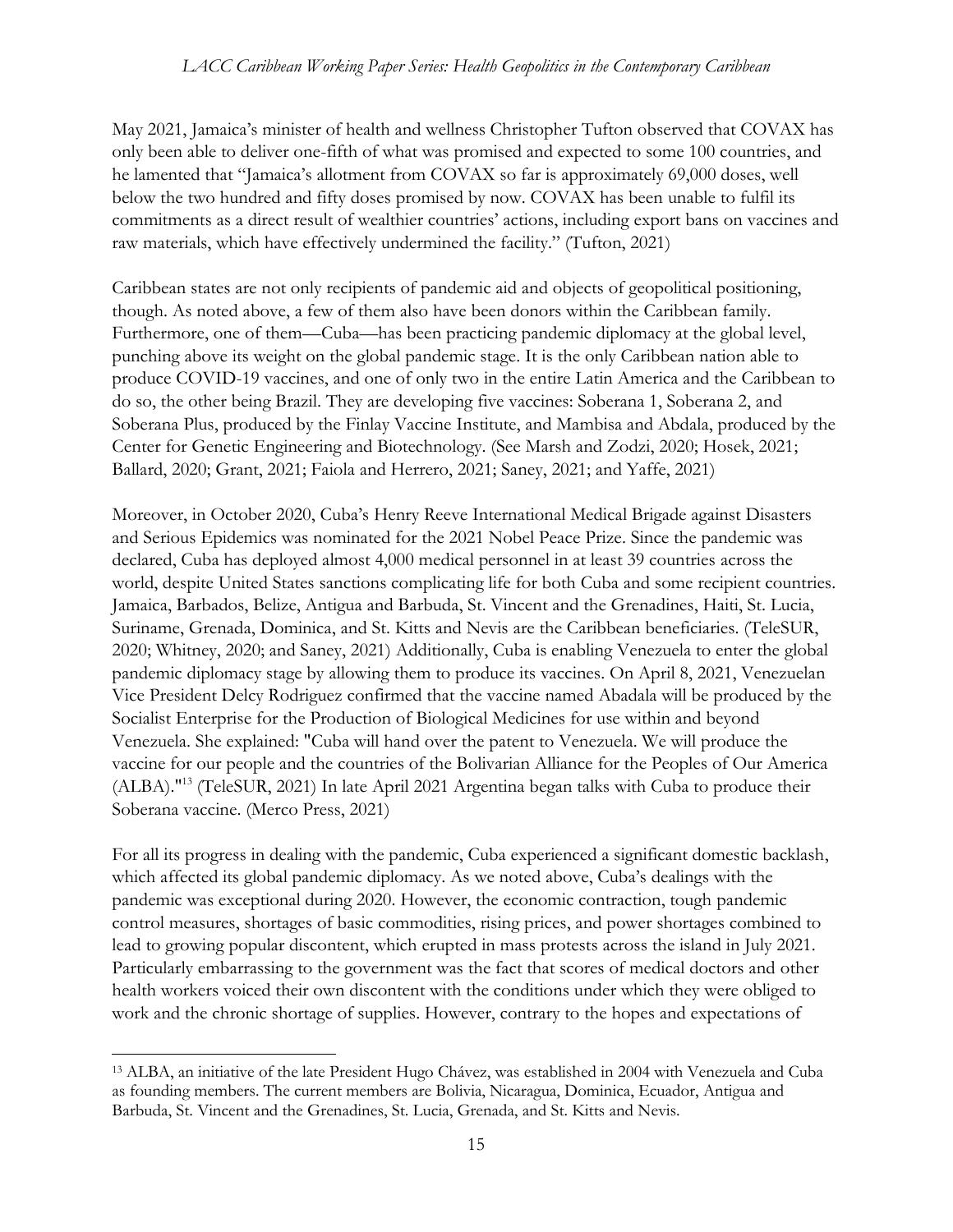May 2021, Jamaica's minister of health and wellness Christopher Tufton observed that COVAX has only been able to deliver one-fifth of what was promised and expected to some 100 countries, and he lamented that "Jamaica's allotment from COVAX so far is approximately 69,000 doses, well below the two hundred and fifty doses promised by now. COVAX has been unable to fulfil its commitments as a direct result of wealthier countries' actions, including export bans on vaccines and raw materials, which have effectively undermined the facility." (Tufton, 2021)

Caribbean states are not only recipients of pandemic aid and objects of geopolitical positioning, though. As noted above, a few of them also have been donors within the Caribbean family. Furthermore, one of them—Cuba—has been practicing pandemic diplomacy at the global level, punching above its weight on the global pandemic stage. It is the only Caribbean nation able to produce COVID-19 vaccines, and one of only two in the entire Latin America and the Caribbean to do so, the other being Brazil. They are developing five vaccines: Soberana 1, Soberana 2, and Soberana Plus, produced by the Finlay Vaccine Institute, and Mambisa and Abdala, produced by the Center for Genetic Engineering and Biotechnology. (See Marsh and Zodzi, 2020; Hosek, 2021; Ballard, 2020; Grant, 2021; Faiola and Herrero, 2021; Saney, 2021; and Yaffe, 2021)

Moreover, in October 2020, Cuba's Henry Reeve International Medical Brigade against Disasters and Serious Epidemics was nominated for the 2021 Nobel Peace Prize. Since the pandemic was declared, Cuba has deployed almost 4,000 medical personnel in at least 39 countries across the world, despite United States sanctions complicating life for both Cuba and some recipient countries. Jamaica, Barbados, Belize, Antigua and Barbuda, St. Vincent and the Grenadines, Haiti, St. Lucia, Suriname, Grenada, Dominica, and St. Kitts and Nevis are the Caribbean beneficiaries. (TeleSUR, 2020; Whitney, 2020; and Saney, 2021) Additionally, Cuba is enabling Venezuela to enter the global pandemic diplomacy stage by allowing them to produce its vaccines. On April 8, 2021, Venezuelan Vice President Delcy Rodriguez confirmed that the vaccine named Abadala will be produced by the Socialist Enterprise for the Production of Biological Medicines for use within and beyond Venezuela. She explained: "Cuba will hand over the patent to Venezuela. We will produce the vaccine for our people and the countries of the Bolivarian Alliance for the Peoples of Our America (ALBA)." <sup>13</sup> (TeleSUR, 2021) In late April 2021 Argentina began talks with Cuba to produce their Soberana vaccine. (Merco Press, 2021)

For all its progress in dealing with the pandemic, Cuba experienced a significant domestic backlash, which affected its global pandemic diplomacy. As we noted above, Cuba's dealings with the pandemic was exceptional during 2020. However, the economic contraction, tough pandemic control measures, shortages of basic commodities, rising prices, and power shortages combined to lead to growing popular discontent, which erupted in mass protests across the island in July 2021. Particularly embarrassing to the government was the fact that scores of medical doctors and other health workers voiced their own discontent with the conditions under which they were obliged to work and the chronic shortage of supplies. However, contrary to the hopes and expectations of

<sup>13</sup> ALBA, an initiative of the late President Hugo Chávez, was established in 2004 with Venezuela and Cuba as founding members. The current members are Bolivia, Nicaragua, Dominica, Ecuador, Antigua and Barbuda, St. Vincent and the Grenadines, St. Lucia, Grenada, and St. Kitts and Nevis.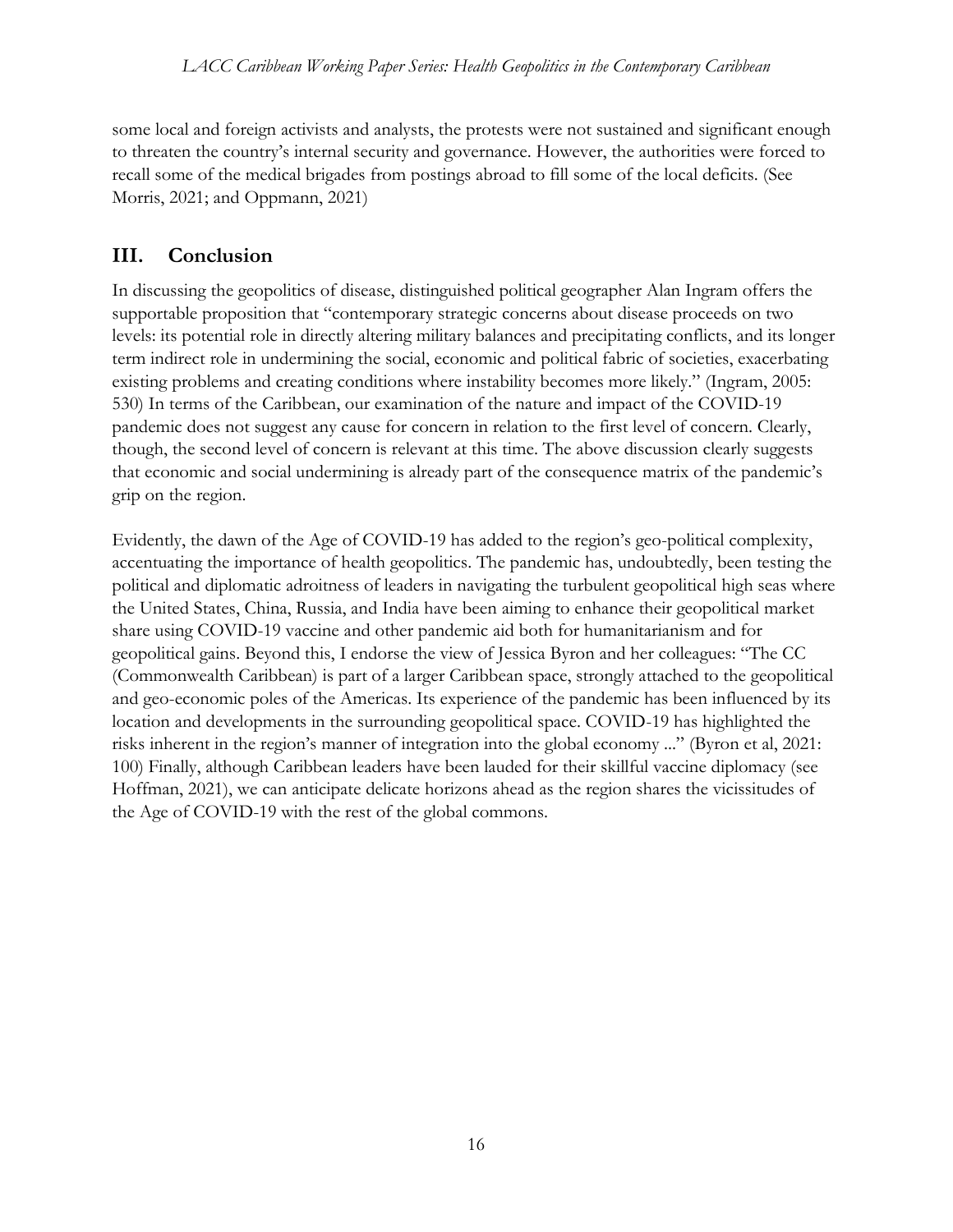some local and foreign activists and analysts, the protests were not sustained and significant enough to threaten the country's internal security and governance. However, the authorities were forced to recall some of the medical brigades from postings abroad to fill some of the local deficits. (See Morris, 2021; and Oppmann, 2021)

## **III. Conclusion**

In discussing the geopolitics of disease, distinguished political geographer Alan Ingram offers the supportable proposition that "contemporary strategic concerns about disease proceeds on two levels: its potential role in directly altering military balances and precipitating conflicts, and its longer term indirect role in undermining the social, economic and political fabric of societies, exacerbating existing problems and creating conditions where instability becomes more likely." (Ingram, 2005: 530) In terms of the Caribbean, our examination of the nature and impact of the COVID-19 pandemic does not suggest any cause for concern in relation to the first level of concern. Clearly, though, the second level of concern is relevant at this time. The above discussion clearly suggests that economic and social undermining is already part of the consequence matrix of the pandemic's grip on the region.

Evidently, the dawn of the Age of COVID-19 has added to the region's geo-political complexity, accentuating the importance of health geopolitics. The pandemic has, undoubtedly, been testing the political and diplomatic adroitness of leaders in navigating the turbulent geopolitical high seas where the United States, China, Russia, and India have been aiming to enhance their geopolitical market share using COVID-19 vaccine and other pandemic aid both for humanitarianism and for geopolitical gains. Beyond this, I endorse the view of Jessica Byron and her colleagues: "The CC (Commonwealth Caribbean) is part of a larger Caribbean space, strongly attached to the geopolitical and geo-economic poles of the Americas. Its experience of the pandemic has been influenced by its location and developments in the surrounding geopolitical space. COVID-19 has highlighted the risks inherent in the region's manner of integration into the global economy ..." (Byron et al, 2021: 100) Finally, although Caribbean leaders have been lauded for their skillful vaccine diplomacy (see Hoffman, 2021), we can anticipate delicate horizons ahead as the region shares the vicissitudes of the Age of COVID-19 with the rest of the global commons.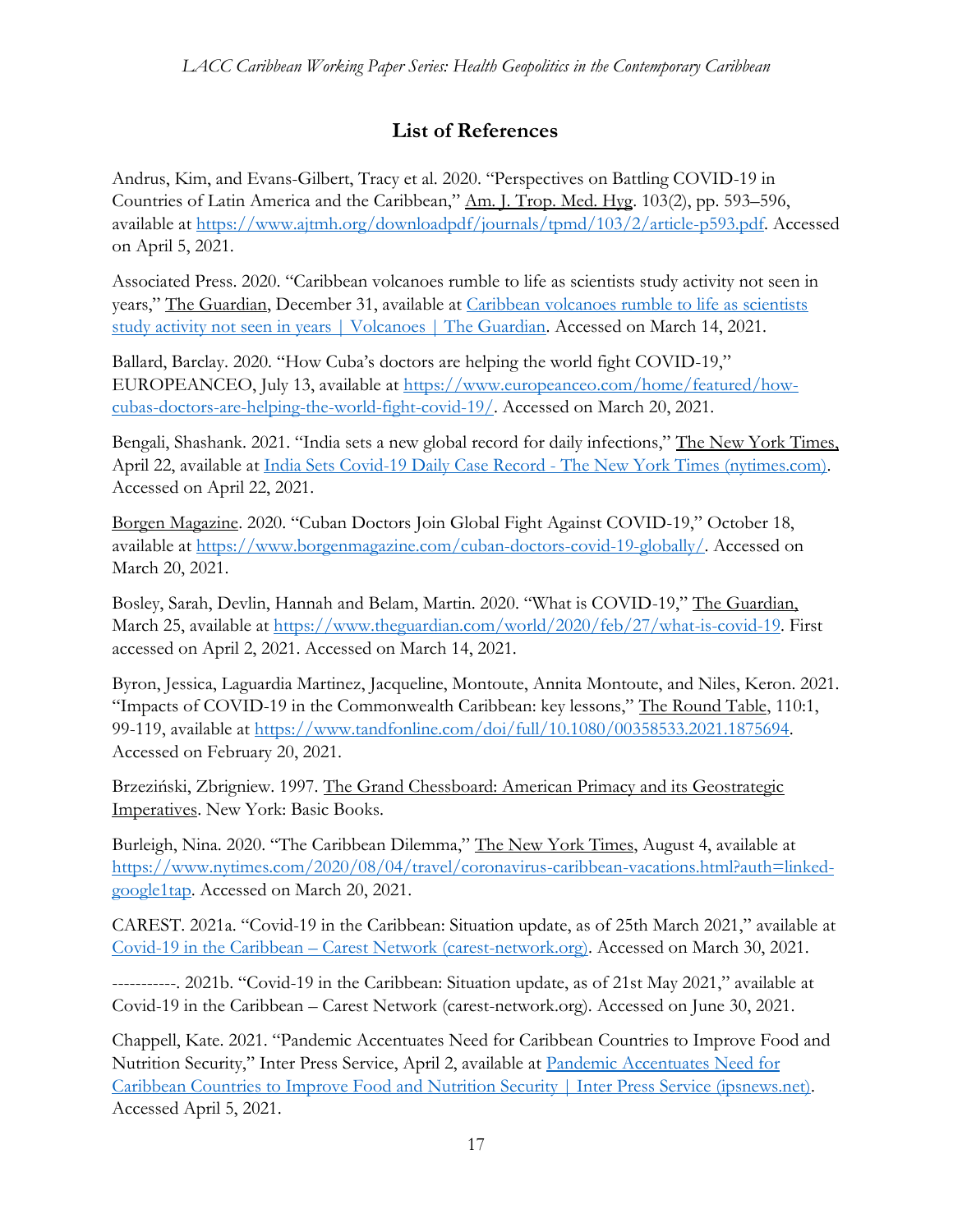## **List of References**

Andrus, Kim, and Evans-Gilbert, Tracy et al. 2020. "Perspectives on Battling COVID-19 in Countries of Latin America and the Caribbean," Am. J. Trop. Med. Hyg. 103(2), pp. 593–596, available at [https://www.ajtmh.org/downloadpdf/journals/tpmd/103/2/article-p593.pdf.](https://www.ajtmh.org/downloadpdf/journals/tpmd/103/2/article-p593.pdf) Accessed on April 5, 2021.

Associated Press. 2020. "Caribbean volcanoes rumble to life as scientists study activity not seen in years," The Guardian, December 31, available at [Caribbean volcanoes rumble to life as scientists](https://amp.theguardian.com/world/2020/dec/30/eastern-caribbean-volcanoes-la-soufriere)  [study activity not seen in years | Volcanoes | The Guardian.](https://amp.theguardian.com/world/2020/dec/30/eastern-caribbean-volcanoes-la-soufriere) Accessed on March 14, 2021.

Ballard, Barclay. 2020. "How Cuba's doctors are helping the world fight COVID-19," EUROPEANCEO, July 13, available at [https://www.europeanceo.com/home/featured/how](https://www.europeanceo.com/home/featured/how-cubas-doctors-are-helping-the-world-fight-covid-19/)[cubas-doctors-are-helping-the-world-fight-covid-19/.](https://www.europeanceo.com/home/featured/how-cubas-doctors-are-helping-the-world-fight-covid-19/) Accessed on March 20, 2021.

Bengali, Shashank. 2021. "India sets a new global record for daily infections," The New York Times, April 22, available at [India Sets Covid-19 Daily Case Record -](https://www.nytimes.com/2021/04/22/world/india-coronavirus-record.html?campaign_id=60&emc=edit_na_20210422&instance_id=0&nl=breaking-news&ref=cta®i_id=97605394&segment_id=56067&user_id=4496efdea6279de72197ea4ca4333a97) The New York Times (nytimes.com). Accessed on April 22, 2021.

Borgen Magazine. 2020. "Cuban Doctors Join Global Fight Against COVID-19," October 18, available at [https://www.borgenmagazine.com/cuban-doctors-covid-19-globally/.](https://www.borgenmagazine.com/cuban-doctors-covid-19-globally/) Accessed on March 20, 2021.

Bosley, Sarah, Devlin, Hannah and Belam, Martin. 2020. "What is COVID-19," The Guardian, March 25, available at [https://www.theguardian.com/world/2020/feb/27/what-is-covid-19.](https://www.theguardian.com/world/2020/feb/27/what-is-covid-19) First accessed on April 2, 2021. Accessed on March 14, 2021.

Byron, Jessica, Laguardia Martinez, Jacqueline, Montoute, Annita Montoute, and Niles, Keron. 2021. "Impacts of COVID-19 in the Commonwealth Caribbean: key lessons," The Round Table, 110:1, 99-119, available at [https://www.tandfonline.com/doi/full/10.1080/00358533.2021.1875694.](https://www.tandfonline.com/doi/full/10.1080/00358533.2021.1875694) Accessed on February 20, 2021.

Brzeziński, Zbrigniew. 1997. The Grand Chessboard: American Primacy and its Geostrategic Imperatives. New York: Basic Books.

Burleigh, Nina. 2020. "The Caribbean Dilemma," The New York Times, August 4, available at [https://www.nytimes.com/2020/08/04/travel/coronavirus-caribbean-vacations.html?auth=linked](https://www.nytimes.com/2020/08/04/travel/coronavirus-caribbean-vacations.html?auth=linked-google1tap)[google1tap.](https://www.nytimes.com/2020/08/04/travel/coronavirus-caribbean-vacations.html?auth=linked-google1tap) Accessed on March 20, 2021.

CAREST. 2021a. "Covid-19 in the Caribbean: Situation update, as of 25th March 2021," available at Covid-19 in the Caribbean – [Carest Network \(carest-network.org\).](https://carest-network.org/?p=4197&lang=en) Accessed on March 30, 2021.

-----------. 2021b. "Covid-19 in the Caribbean: Situation update, as of 21st May 2021," available at Covid-19 in the Caribbean – Carest Network (carest-network.org). Accessed on June 30, 2021.

Chappell, Kate. 2021. "Pandemic Accentuates Need for Caribbean Countries to Improve Food and Nutrition Security," Inter Press Service, April 2, available at [Pandemic Accentuates Need for](https://www.ipsnews.net/2021/04/pandemic-accentuates-need-caribbean-countries-improve-food-nutrition-security/)  [Caribbean Countries to Improve Food and Nutrition Security | Inter Press Service \(ipsnews.net\).](https://www.ipsnews.net/2021/04/pandemic-accentuates-need-caribbean-countries-improve-food-nutrition-security/) Accessed April 5, 2021.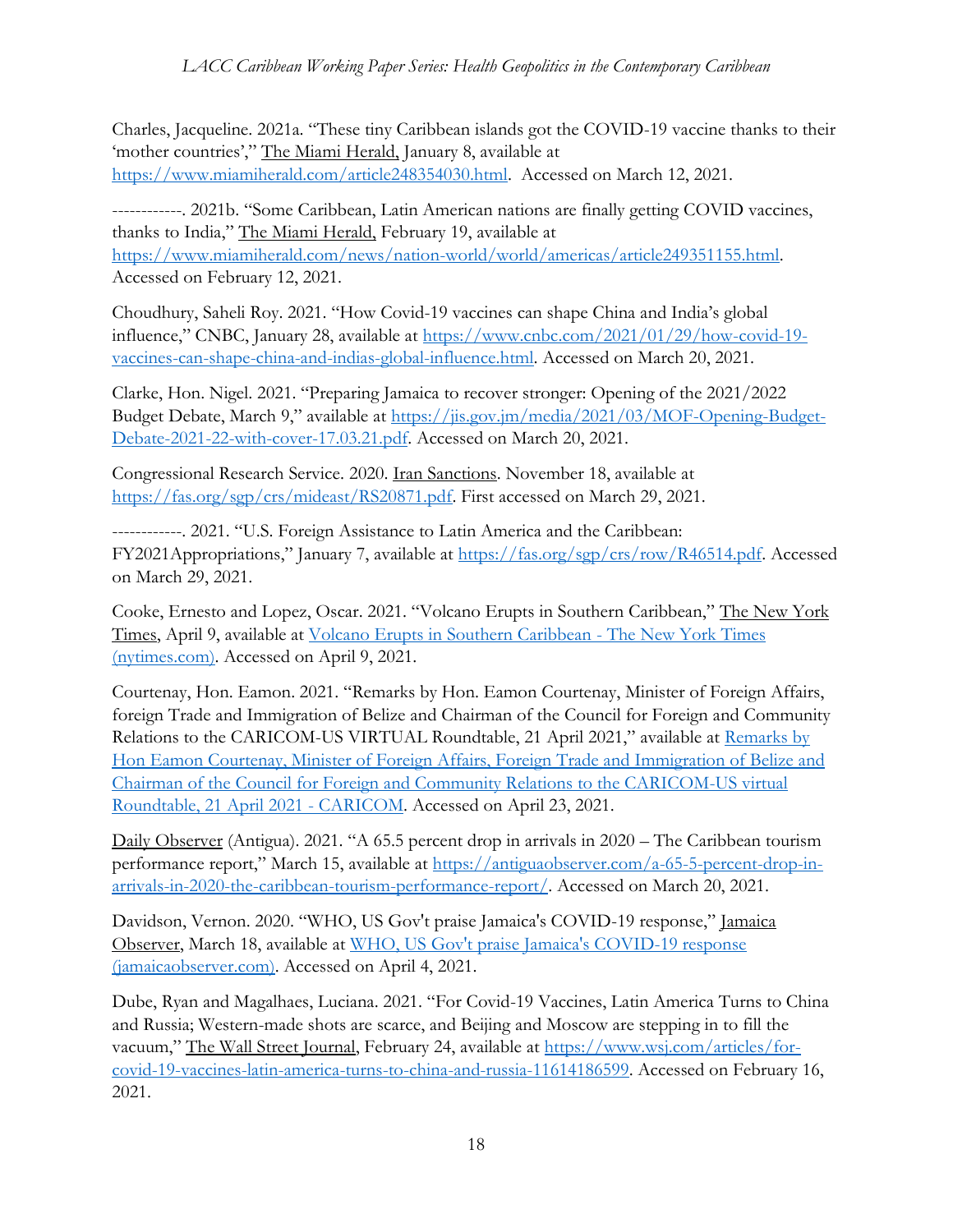Charles, Jacqueline. 2021a. "These tiny Caribbean islands got the COVID-19 vaccine thanks to their 'mother countries'," The Miami Herald, January 8, available at [https://www.miamiherald.com/article248354030.html.](https://www.miamiherald.com/article248354030.html) Accessed on March 12, 2021.

------------. 2021b. "Some Caribbean, Latin American nations are finally getting COVID vaccines, thanks to India," The Miami Herald, February 19, available at [https://www.miamiherald.com/news/nation-world/world/americas/article249351155.html.](https://www.miamiherald.com/news/nation-world/world/americas/article249351155.html) Accessed on February 12, 2021.

Choudhury, Saheli Roy. 2021. "How Covid-19 vaccines can shape China and India's global influence," CNBC, January 28, available at [https://www.cnbc.com/2021/01/29/how-covid-19](https://www.cnbc.com/2021/01/29/how-covid-19-vaccines-can-shape-china-and-indias-global-influence.html) [vaccines-can-shape-china-and-indias-global-influence.html.](https://www.cnbc.com/2021/01/29/how-covid-19-vaccines-can-shape-china-and-indias-global-influence.html) Accessed on March 20, 2021.

Clarke, Hon. Nigel. 2021. "Preparing Jamaica to recover stronger: Opening of the 2021/2022 Budget Debate, March 9," available at [https://jis.gov.jm/media/2021/03/MOF-Opening-Budget-](https://jis.gov.jm/media/2021/03/MOF-Opening-Budget-Debate-2021-22-with-cover-17.03.21.pdf)[Debate-2021-22-with-cover-17.03.21.pdf.](https://jis.gov.jm/media/2021/03/MOF-Opening-Budget-Debate-2021-22-with-cover-17.03.21.pdf) Accessed on March 20, 2021.

Congressional Research Service. 2020. Iran Sanctions. November 18, available at [https://fas.org/sgp/crs/mideast/RS20871.pdf.](https://fas.org/sgp/crs/mideast/RS20871.pdf) First accessed on March 29, 2021.

------------. 2021. "U.S. Foreign Assistance to Latin America and the Caribbean: FY2021Appropriations," January 7, available at [https://fas.org/sgp/crs/row/R46514.pdf.](https://fas.org/sgp/crs/row/R46514.pdf) Accessed on March 29, 2021.

Cooke, Ernesto and Lopez, Oscar. 2021. "Volcano Erupts in Southern Caribbean," The New York Times, April 9, available at [Volcano Erupts in Southern Caribbean -](https://www.nytimes.com/2021/04/09/world/americas/volcano-St-Vincent-eruption-caribbean.html?campaign_id=60&emc=edit_na_20210409&instance_id=0&nl=breaking-news&ref=cta®i_id=97605394&segment_id=55278&user_id=4496efdea6279de72197ea4ca4333a97) The New York Times [\(nytimes.com\).](https://www.nytimes.com/2021/04/09/world/americas/volcano-St-Vincent-eruption-caribbean.html?campaign_id=60&emc=edit_na_20210409&instance_id=0&nl=breaking-news&ref=cta®i_id=97605394&segment_id=55278&user_id=4496efdea6279de72197ea4ca4333a97) Accessed on April 9, 2021.

Courtenay, Hon. Eamon. 2021. "Remarks by Hon. Eamon Courtenay, Minister of Foreign Affairs, foreign Trade and Immigration of Belize and Chairman of the Council for Foreign and Community Relations to the CARICOM-US VIRTUAL Roundtable, 21 April 2021," available at [Remarks by](https://caricom.org/remarks-by-hon-eamon-courtenay-minister-of-foreign-affairs-foreign-trade-and-immigration-of-belize-and-chairman-of-the-council-for-foreign-and-community-relations-to-the-caricom-us-virtual-roundtabl/)  [Hon Eamon Courtenay, Minister of Foreign Affairs, Foreign Trade and Immigration of Belize and](https://caricom.org/remarks-by-hon-eamon-courtenay-minister-of-foreign-affairs-foreign-trade-and-immigration-of-belize-and-chairman-of-the-council-for-foreign-and-community-relations-to-the-caricom-us-virtual-roundtabl/)  [Chairman of the Council for Foreign and Community Relations to the CARICOM-US virtual](https://caricom.org/remarks-by-hon-eamon-courtenay-minister-of-foreign-affairs-foreign-trade-and-immigration-of-belize-and-chairman-of-the-council-for-foreign-and-community-relations-to-the-caricom-us-virtual-roundtabl/)  [Roundtable, 21 April 2021 -](https://caricom.org/remarks-by-hon-eamon-courtenay-minister-of-foreign-affairs-foreign-trade-and-immigration-of-belize-and-chairman-of-the-council-for-foreign-and-community-relations-to-the-caricom-us-virtual-roundtabl/) CARICOM. Accessed on April 23, 2021.

Daily Observer (Antigua). 2021. "A 65.5 percent drop in arrivals in 2020 – The Caribbean tourism performance report," March 15, available at [https://antiguaobserver.com/a-65-5-percent-drop-in](https://antiguaobserver.com/a-65-5-percent-drop-in-arrivals-in-2020-the-caribbean-tourism-performance-report/)[arrivals-in-2020-the-caribbean-tourism-performance-report/.](https://antiguaobserver.com/a-65-5-percent-drop-in-arrivals-in-2020-the-caribbean-tourism-performance-report/) Accessed on March 20, 2021.

Davidson, Vernon. 2020. "WHO, US Gov't praise Jamaica's COVID-19 response," Jamaica Observer, March 18, available at [WHO, US Gov't praise Jamaica's COVID-19 response](https://amp.jamaicaobserver.com/news/who-us-gov-t-praise-jamaica-s-covid-19-response_189863?profile=1606)  [\(jamaicaobserver.com\).](https://amp.jamaicaobserver.com/news/who-us-gov-t-praise-jamaica-s-covid-19-response_189863?profile=1606) Accessed on April 4, 2021.

Dube, Ryan and Magalhaes, Luciana. 2021. "For Covid-19 Vaccines, Latin America Turns to China and Russia; Western-made shots are scarce, and Beijing and Moscow are stepping in to fill the vacuum," The Wall Street Journal, February 24, available at [https://www.wsj.com/articles/for](https://www.wsj.com/articles/for-covid-19-vaccines-latin-america-turns-to-china-and-russia-11614186599)[covid-19-vaccines-latin-america-turns-to-china-and-russia-11614186599.](https://www.wsj.com/articles/for-covid-19-vaccines-latin-america-turns-to-china-and-russia-11614186599) Accessed on February 16, 2021.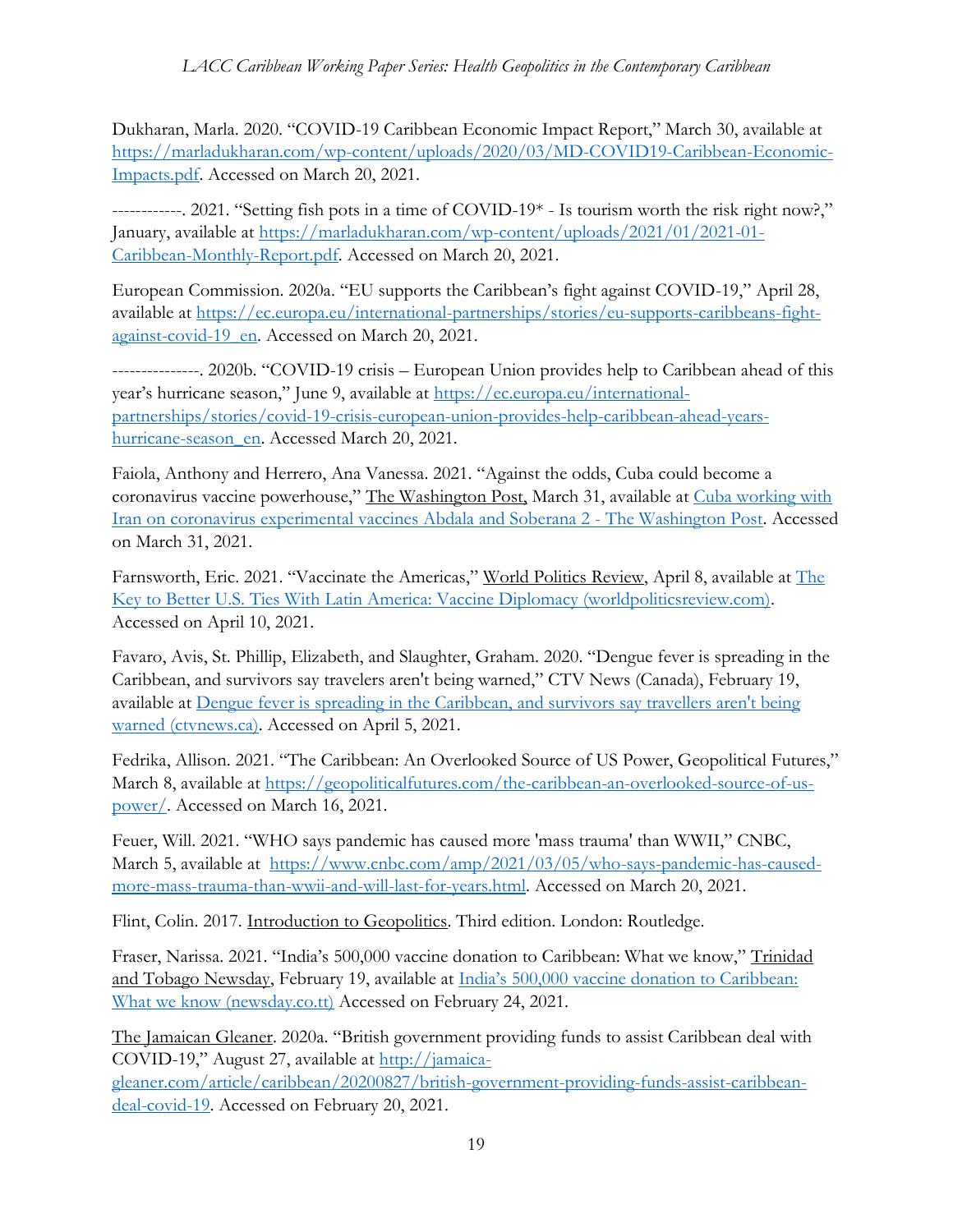Dukharan, Marla. 2020. "COVID-19 Caribbean Economic Impact Report," March 30, available at [https://marladukharan.com/wp-content/uploads/2020/03/MD-COVID19-Caribbean-Economic-](https://marladukharan.com/wp-content/uploads/2020/03/MD-COVID19-Caribbean-Economic-Impacts.pdf)[Impacts.pdf.](https://marladukharan.com/wp-content/uploads/2020/03/MD-COVID19-Caribbean-Economic-Impacts.pdf) Accessed on March 20, 2021.

------------. 2021. "Setting fish pots in a time of COVID-19\* - Is tourism worth the risk right now?," January, available at [https://marladukharan.com/wp-content/uploads/2021/01/2021-01-](https://marladukharan.com/wp-content/uploads/2021/01/2021-01-Caribbean-Monthly-Report.pdf) [Caribbean-Monthly-Report.pdf.](https://marladukharan.com/wp-content/uploads/2021/01/2021-01-Caribbean-Monthly-Report.pdf) Accessed on March 20, 2021.

European Commission. 2020a. "EU supports the Caribbean's fight against COVID-19," April 28, available at [https://ec.europa.eu/international-partnerships/stories/eu-supports-caribbeans-fight](https://ec.europa.eu/international-partnerships/stories/eu-supports-caribbeans-fight-against-covid-19_en)[against-covid-19\\_en.](https://ec.europa.eu/international-partnerships/stories/eu-supports-caribbeans-fight-against-covid-19_en) Accessed on March 20, 2021.

---------------. 2020b. "COVID-19 crisis – European Union provides help to Caribbean ahead of this year's hurricane season," June 9, available at [https://ec.europa.eu/international](https://ec.europa.eu/international-partnerships/stories/covid-19-crisis-european-union-provides-help-caribbean-ahead-years-hurricane-season_en)[partnerships/stories/covid-19-crisis-european-union-provides-help-caribbean-ahead-years](https://ec.europa.eu/international-partnerships/stories/covid-19-crisis-european-union-provides-help-caribbean-ahead-years-hurricane-season_en)[hurricane-season\\_en.](https://ec.europa.eu/international-partnerships/stories/covid-19-crisis-european-union-provides-help-caribbean-ahead-years-hurricane-season_en) Accessed March 20, 2021.

Faiola, Anthony and Herrero, Ana Vanessa. 2021. "Against the odds, Cuba could become a coronavirus vaccine powerhouse," The Washington Post, March 31, available at [Cuba working with](https://www.washingtonpost.com/world/2021/03/29/cuba-coronavirus-vaccine-iran-venezuela/)  [Iran on coronavirus experimental vaccines Abdala and Soberana 2 -](https://www.washingtonpost.com/world/2021/03/29/cuba-coronavirus-vaccine-iran-venezuela/) The Washington Post. Accessed on March 31, 2021.

Farnsworth, Eric. 2021. "Vaccinate the Americas," World Politics Review, April 8, available at [The](https://www.worldpoliticsreview.com/articles/29555/the-key-to-better-u-s-ties-with-latin-america-vaccine-diplomacy)  [Key to Better U.S. Ties With Latin America: Vaccine Diplomacy \(worldpoliticsreview.com\).](https://www.worldpoliticsreview.com/articles/29555/the-key-to-better-u-s-ties-with-latin-america-vaccine-diplomacy) Accessed on April 10, 2021.

Favaro, Avis, St. Phillip, Elizabeth, and Slaughter, Graham. 2020. "Dengue fever is spreading in the Caribbean, and survivors say travelers aren't being warned," CTV News (Canada), February 19, available at [Dengue fever is spreading in the Caribbean, and survivors say travellers aren't being](https://beta.ctvnews.ca/national/health/2020/2/19/1_4819482.html)  [warned \(ctvnews.ca\).](https://beta.ctvnews.ca/national/health/2020/2/19/1_4819482.html) Accessed on April 5, 2021.

Fedrika, Allison. 2021. "The Caribbean: An Overlooked Source of US Power, Geopolitical Futures," March 8, available at [https://geopoliticalfutures.com/the-caribbean-an-overlooked-source-of-us](https://geopoliticalfutures.com/the-caribbean-an-overlooked-source-of-us-power/)[power/.](https://geopoliticalfutures.com/the-caribbean-an-overlooked-source-of-us-power/) Accessed on March 16, 2021.

Feuer, Will. 2021. "WHO says pandemic has caused more 'mass trauma' than WWII," CNBC, March 5, available at [https://www.cnbc.com/amp/2021/03/05/who-says-pandemic-has-caused](https://www.cnbc.com/amp/2021/03/05/who-says-pandemic-has-caused-more-mass-trauma-than-wwii-and-will-last-for-years.html)[more-mass-trauma-than-wwii-and-will-last-for-years.html.](https://www.cnbc.com/amp/2021/03/05/who-says-pandemic-has-caused-more-mass-trauma-than-wwii-and-will-last-for-years.html) Accessed on March 20, 2021.

Flint, Colin. 2017. Introduction to Geopolitics. Third edition. London: Routledge.

Fraser, Narissa. 2021. "India's 500,000 vaccine donation to Caribbean: What we know," Trinidad and Tobago Newsday, February 19, available at [India's 500,000 vaccine donation to Caribbean:](https://newsday.co.tt/2021/02/19/indias-500000-vaccine-donation-to-caribbean-what-we-know/)  [What we know \(newsday.co.tt\)](https://newsday.co.tt/2021/02/19/indias-500000-vaccine-donation-to-caribbean-what-we-know/) Accessed on February 24, 2021.

The Jamaican Gleaner. 2020a. "British government providing funds to assist Caribbean deal with COVID-19," August 27, available at [http://jamaica-](http://jamaica-gleaner.com/article/caribbean/20200827/british-government-providing-funds-assist-caribbean-deal-covid-19)

[gleaner.com/article/caribbean/20200827/british-government-providing-funds-assist-caribbean](http://jamaica-gleaner.com/article/caribbean/20200827/british-government-providing-funds-assist-caribbean-deal-covid-19)[deal-covid-19.](http://jamaica-gleaner.com/article/caribbean/20200827/british-government-providing-funds-assist-caribbean-deal-covid-19) Accessed on February 20, 2021.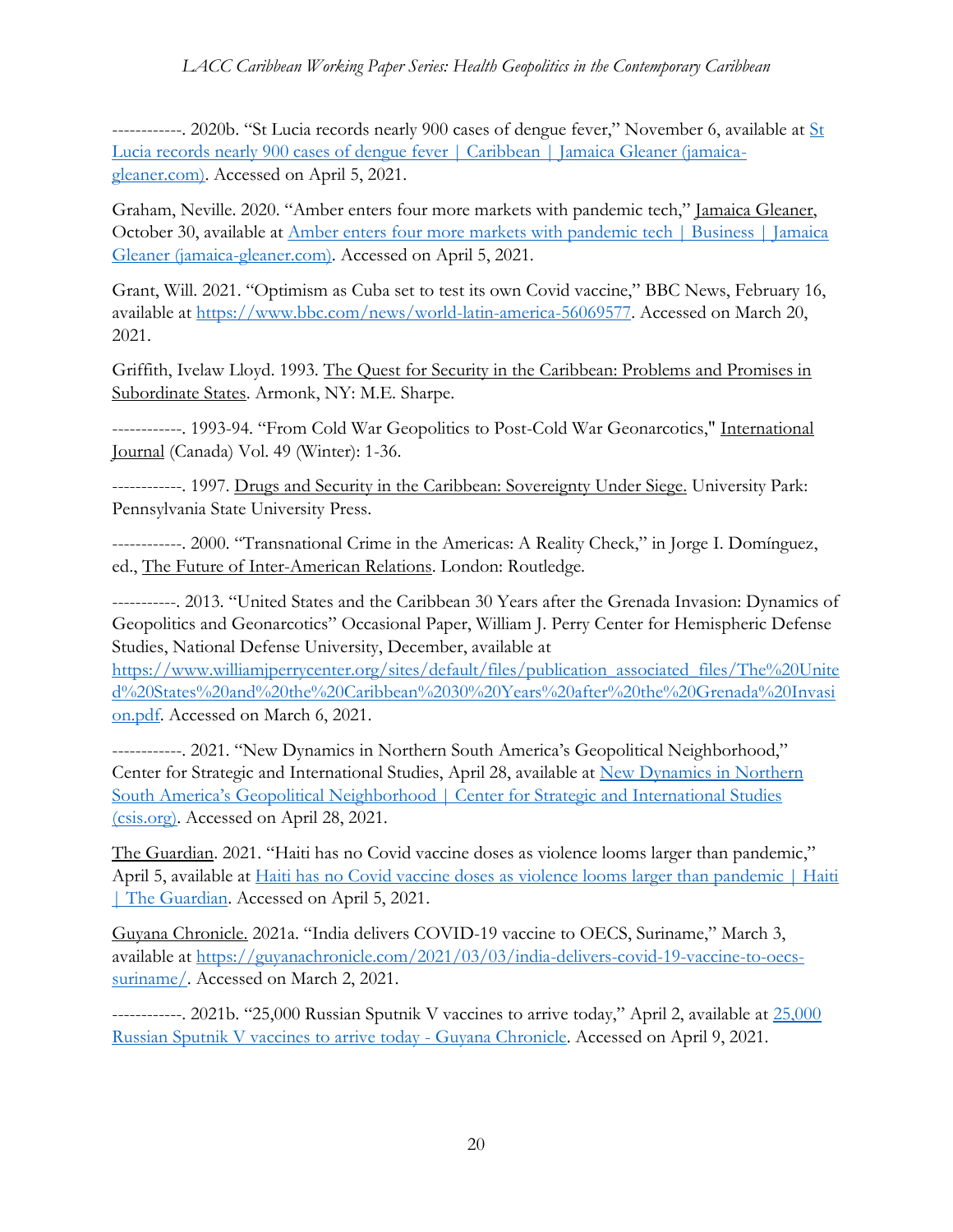------------. 2020b. "[St](http://web5.jamaica-gleaner.com/article/caribbean/20201106/st-lucia-records-nearly-900-cases-dengue-fever) Lucia records nearly 900 cases of dengue fever," November 6, available at  $S_t$ [Lucia records nearly 900 cases of dengue fever | Caribbean | Jamaica Gleaner \(jamaica](http://web5.jamaica-gleaner.com/article/caribbean/20201106/st-lucia-records-nearly-900-cases-dengue-fever)[gleaner.com\).](http://web5.jamaica-gleaner.com/article/caribbean/20201106/st-lucia-records-nearly-900-cases-dengue-fever) Accessed on April 5, 2021.

Graham, Neville. 2020. "Amber enters four more markets with pandemic tech," Jamaica Gleaner, October 30, available at [Amber enters four more markets with pandemic tech | Business | Jamaica](http://jamaica-gleaner.com/article/business/20201030/amber-enters-four-more-markets-pandemic-tech)  [Gleaner \(jamaica-gleaner.com\).](http://jamaica-gleaner.com/article/business/20201030/amber-enters-four-more-markets-pandemic-tech) Accessed on April 5, 2021.

Grant, Will. 2021. "Optimism as Cuba set to test its own Covid vaccine," BBC News, February 16, available at [https://www.bbc.com/news/world-latin-america-56069577.](https://www.bbc.com/news/world-latin-america-56069577) Accessed on March 20, 2021.

Griffith, Ivelaw Lloyd. 1993. The Quest for Security in the Caribbean: Problems and Promises in Subordinate States. Armonk, NY: M.E. Sharpe.

------------. 1993-94. "From Cold War Geopolitics to Post-Cold War Geonarcotics," International Journal (Canada) Vol. 49 (Winter): 1-36.

------------. 1997. Drugs and Security in the Caribbean: Sovereignty Under Siege. University Park: Pennsylvania State University Press.

------------. 2000. "Transnational Crime in the Americas: A Reality Check," in Jorge I. Domínguez, ed., The Future of Inter-American Relations. London: Routledge.

-----------. 2013. "United States and the Caribbean 30 Years after the Grenada Invasion: Dynamics of Geopolitics and Geonarcotics" Occasional Paper, William J. Perry Center for Hemispheric Defense Studies, National Defense University, December, available at

[https://www.williamjperrycenter.org/sites/default/files/publication\\_associated\\_files/The%20Unite](https://www.williamjperrycenter.org/sites/default/files/publication_associated_files/The%20United%20States%20and%20the%20Caribbean%2030%20Years%20after%20the%20Grenada%20Invasion.pdf) [d%20States%20and%20the%20Caribbean%2030%20Years%20after%20the%20Grenada%20Invasi](https://www.williamjperrycenter.org/sites/default/files/publication_associated_files/The%20United%20States%20and%20the%20Caribbean%2030%20Years%20after%20the%20Grenada%20Invasion.pdf) [on.pdf.](https://www.williamjperrycenter.org/sites/default/files/publication_associated_files/The%20United%20States%20and%20the%20Caribbean%2030%20Years%20after%20the%20Grenada%20Invasion.pdf) Accessed on March 6, 2021.

------------. 2021. "New Dynamics in Northern South America's Geopolitical Neighborhood," Center for Strategic and International Studies, April 28, available at [New Dynamics in Northern](https://www.csis.org/analysis/new-dynamics-northern-south-americas-geopolitical-neighborhood)  [South America's Geopolitical Neighborhood | Center for Strategic and International Studies](https://www.csis.org/analysis/new-dynamics-northern-south-americas-geopolitical-neighborhood) [\(csis.org\).](https://www.csis.org/analysis/new-dynamics-northern-south-americas-geopolitical-neighborhood) Accessed on April 28, 2021.

The Guardian. 2021. "Haiti has no Covid vaccine doses as violence looms larger than pandemic," April 5, available at [Haiti has no Covid vaccine doses as violence looms larger than pandemic | Haiti](https://www.theguardian.com/world/2021/apr/05/haiti-no-covid-vaccine-doses)  [| The Guardian.](https://www.theguardian.com/world/2021/apr/05/haiti-no-covid-vaccine-doses) Accessed on April 5, 2021.

Guyana Chronicle. 2021a. "India delivers COVID-19 vaccine to OECS, Suriname," March 3, available at [https://guyanachronicle.com/2021/03/03/india-delivers-covid-19-vaccine-to-oecs](https://guyanachronicle.com/2021/03/03/india-delivers-covid-19-vaccine-to-oecs-suriname/)[suriname/.](https://guyanachronicle.com/2021/03/03/india-delivers-covid-19-vaccine-to-oecs-suriname/) Accessed on March 2, 2021.

------------. 2021b. "25,000 Russian Sputnik V vaccines to arrive today," April 2, available at [25,000](https://guyanachronicle.com/2021/04/02/25000-russian-sputnik-v-vaccines-to-arrive-today/)  [Russian Sputnik V vaccines to arrive today -](https://guyanachronicle.com/2021/04/02/25000-russian-sputnik-v-vaccines-to-arrive-today/) Guyana Chronicle. Accessed on April 9, 2021.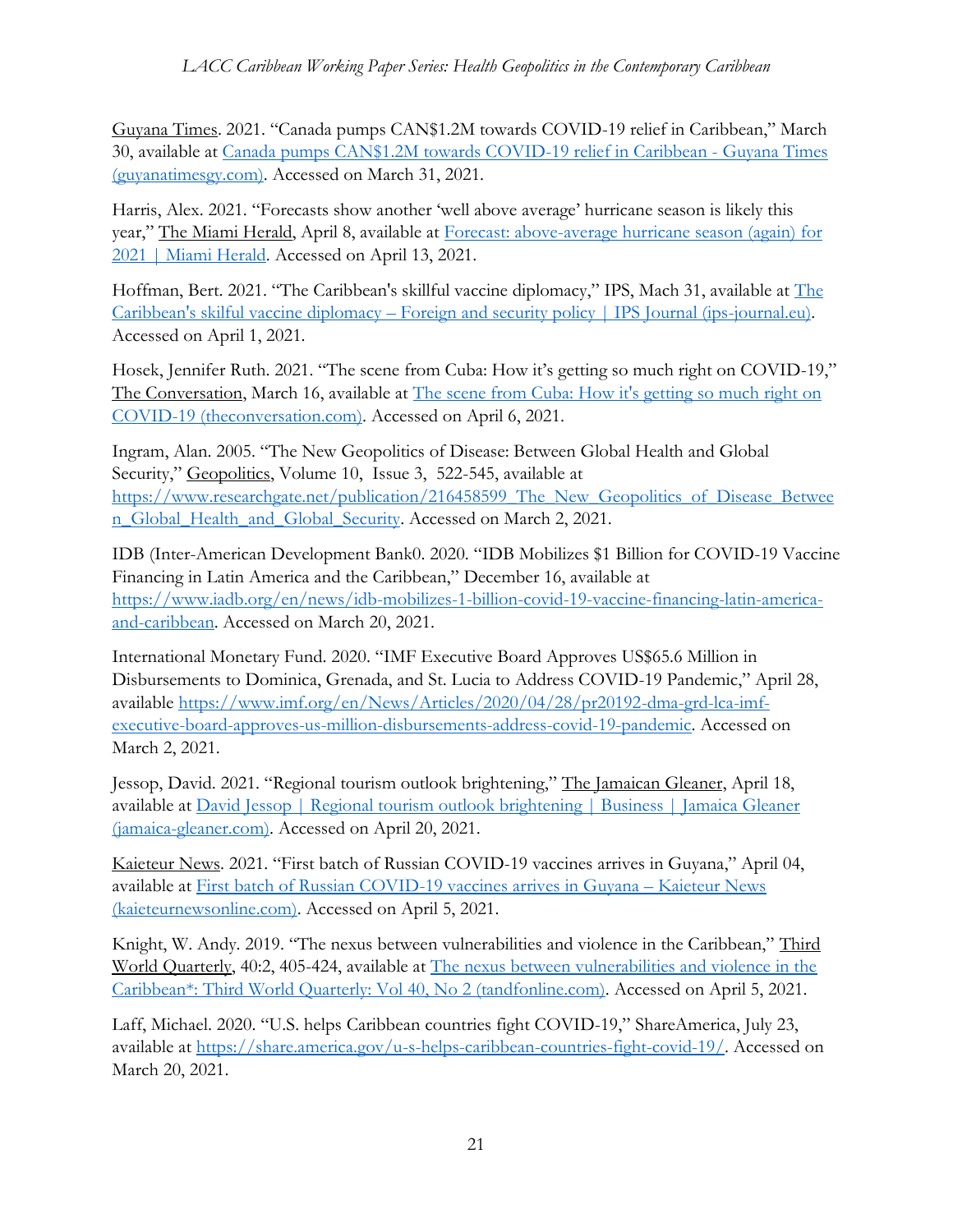Guyana Times. 2021. "Canada pumps CAN\$1.2M towards COVID-19 relief in Caribbean," March 30, available at [Canada pumps CAN\\$1.2M towards COVID-19 relief in Caribbean -](https://guyanatimesgy.com/canada-pumps-can1-2m-towards-covid-19-relief-in-caribbean/) Guyana Times [\(guyanatimesgy.com\).](https://guyanatimesgy.com/canada-pumps-can1-2m-towards-covid-19-relief-in-caribbean/) Accessed on March 31, 2021.

Harris, Alex. 2021. "Forecasts show another 'well above average' hurricane season is likely this year," The Miami Herald, April 8, available at [Forecast: above-average hurricane season \(again\) for](https://amp.miamiherald.com/news/weather/hurricane/article250519759.html)  [2021 | Miami Herald.](https://amp.miamiherald.com/news/weather/hurricane/article250519759.html) Accessed on April 13, 2021.

Hoffman, Bert. 2021. "The Caribbean's skillful vaccine diplomacy," IPS, Mach 31, available at [The](https://www.ips-journal.eu/topics/foreign-and-security-policy/the-caribbeans-skilful-vaccine-diplomacy-5084/)  Caribbean's skilful vaccine diplomacy – [Foreign and security policy | IPS Journal \(ips-journal.eu\).](https://www.ips-journal.eu/topics/foreign-and-security-policy/the-caribbeans-skilful-vaccine-diplomacy-5084/) Accessed on April 1, 2021.

Hosek, Jennifer Ruth. 2021. "The scene from Cuba: How it's getting so much right on COVID-19," The Conversation, March 16, available at The scene [from Cuba: How it's getting so much right on](https://theconversation.com/the-scene-from-cuba-how-its-getting-so-much-right-on-covid-19-155699)  [COVID-19 \(theconversation.com\).](https://theconversation.com/the-scene-from-cuba-how-its-getting-so-much-right-on-covid-19-155699) Accessed on April 6, 2021.

Ingram, Alan. 2005. "The New Geopolitics of Disease: Between Global Health and Global Security," Geopolitics, Volume 10, Issue 3, 522-545, available at https://www.researchgate.net/publication/216458599 The New Geopolitics of Disease Betwee [n\\_Global\\_Health\\_and\\_Global\\_Security.](https://www.researchgate.net/publication/216458599_The_New_Geopolitics_of_Disease_Between_Global_Health_and_Global_Security) Accessed on March 2, 2021.

IDB (Inter-American Development Bank0. 2020. "IDB Mobilizes \$1 Billion for COVID-19 Vaccine Financing in Latin America and the Caribbean," December 16, available at [https://www.iadb.org/en/news/idb-mobilizes-1-billion-covid-19-vaccine-financing-latin-america](https://www.iadb.org/en/news/idb-mobilizes-1-billion-covid-19-vaccine-financing-latin-america-and-caribbean)[and-caribbean.](https://www.iadb.org/en/news/idb-mobilizes-1-billion-covid-19-vaccine-financing-latin-america-and-caribbean) Accessed on March 20, 2021.

International Monetary Fund. 2020. "IMF Executive Board Approves US\$65.6 Million in Disbursements to Dominica, Grenada, and St. Lucia to Address COVID-19 Pandemic," April 28, available [https://www.imf.org/en/News/Articles/2020/04/28/pr20192-dma-grd-lca-imf](https://www.imf.org/en/News/Articles/2020/04/28/pr20192-dma-grd-lca-imf-executive-board-approves-us-million-disbursements-address-covid-19-pandemic)[executive-board-approves-us-million-disbursements-address-covid-19-pandemic.](https://www.imf.org/en/News/Articles/2020/04/28/pr20192-dma-grd-lca-imf-executive-board-approves-us-million-disbursements-address-covid-19-pandemic) Accessed on March 2, 2021.

Jessop, David. 2021. "Regional tourism outlook brightening," The Jamaican Gleaner, April 18, available at [David Jessop | Regional tourism outlook brightening | Business | Jamaica Gleaner](https://jamaica-gleaner.com/article/business/20210418/david-jessop-regional-tourism-outlook-brightening)  [\(jamaica-gleaner.com\).](https://jamaica-gleaner.com/article/business/20210418/david-jessop-regional-tourism-outlook-brightening) Accessed on April 20, 2021.

Kaieteur News. 2021. "First batch of Russian COVID-19 vaccines arrives in Guyana," April 04, available at [First batch of Russian COVID-19 vaccines arrives in Guyana](https://www.kaieteurnewsonline.com/2021/04/04/first-batch-of-sputnik-v-covid-19-vaccines-arrives-in-guyana/) – Kaieteur News [\(kaieteurnewsonline.com\).](https://www.kaieteurnewsonline.com/2021/04/04/first-batch-of-sputnik-v-covid-19-vaccines-arrives-in-guyana/) Accessed on April 5, 2021.

Knight, W. Andy. 2019. "The nexus between vulnerabilities and violence in the Caribbean," Third World Quarterly, 40:2, 405-424, available at [The nexus between vulnerabilities and violence in the](https://www.tandfonline.com/doi/full/10.1080/01436597.2019.1576518?scroll=top&needAccess=true)  [Caribbean\\*: Third World Quarterly: Vol 40, No 2 \(tandfonline.com\).](https://www.tandfonline.com/doi/full/10.1080/01436597.2019.1576518?scroll=top&needAccess=true) Accessed on April 5, 2021.

Laff, Michael. 2020. "U.S. helps Caribbean countries fight COVID-19," ShareAmerica, July 23, available at [https://share.america.gov/u-s-helps-caribbean-countries-fight-covid-19/.](https://share.america.gov/u-s-helps-caribbean-countries-fight-covid-19/) Accessed on March 20, 2021.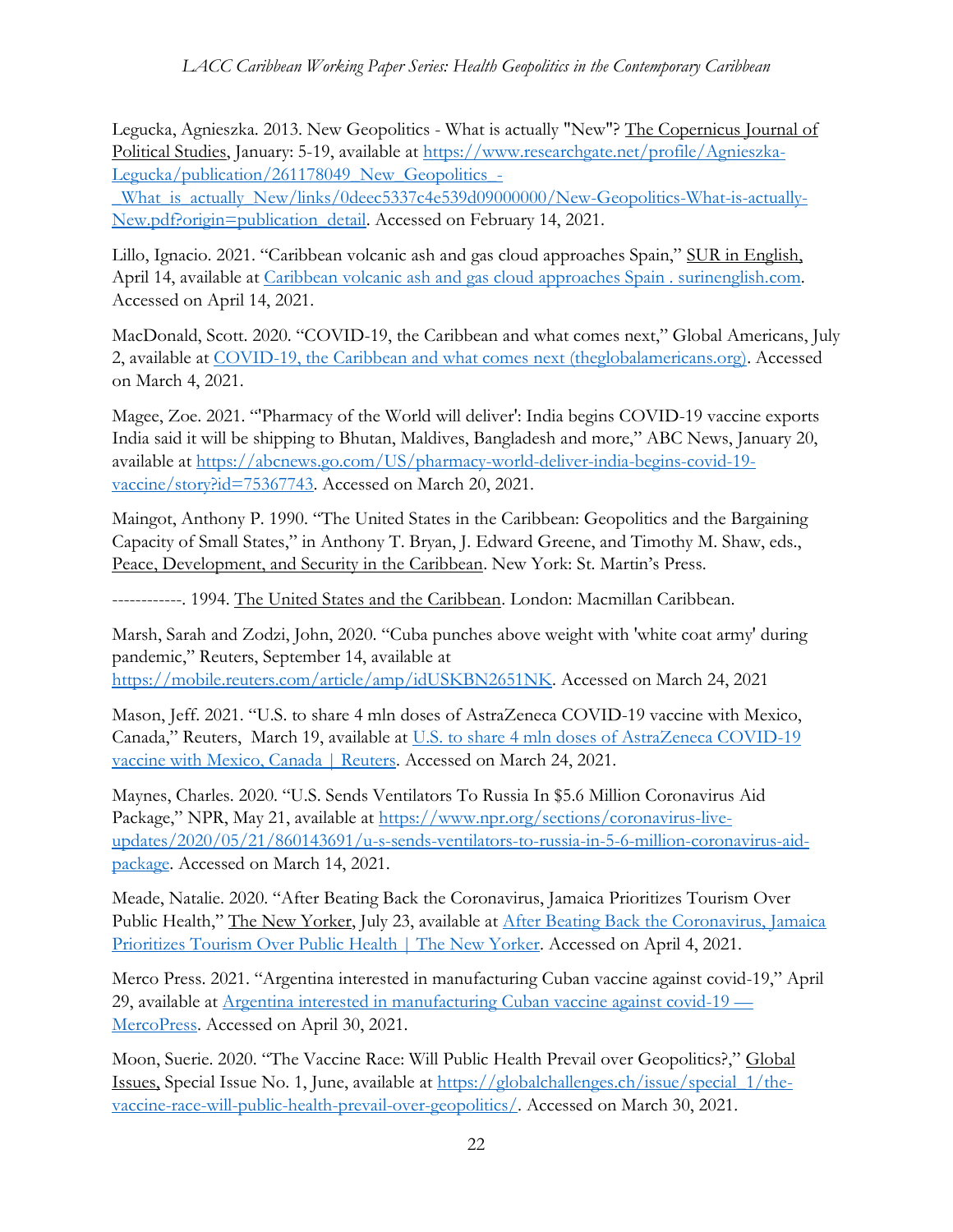Legucka, Agnieszka. 2013. New Geopolitics - What is actually "New"? The Copernicus Journal of Political Studies, January: 5-19, available at [https://www.researchgate.net/profile/Agnieszka-](https://www.researchgate.net/profile/Agnieszka-Legucka/publication/261178049_New_Geopolitics_-_What_is_actually_New/links/0deec5337c4e539d09000000/New-Geopolitics-What-is-actually-New.pdf?origin=publication_detail)Legucka/publication/261178049 New Geopolitics -

[\\_What\\_is\\_actually\\_New/links/0deec5337c4e539d09000000/New-Geopolitics-What-is-actually-](https://www.researchgate.net/profile/Agnieszka-Legucka/publication/261178049_New_Geopolitics_-_What_is_actually_New/links/0deec5337c4e539d09000000/New-Geopolitics-What-is-actually-New.pdf?origin=publication_detail)[New.pdf?origin=publication\\_detail.](https://www.researchgate.net/profile/Agnieszka-Legucka/publication/261178049_New_Geopolitics_-_What_is_actually_New/links/0deec5337c4e539d09000000/New-Geopolitics-What-is-actually-New.pdf?origin=publication_detail) Accessed on February 14, 2021.

Lillo, Ignacio. 2021. "Caribbean volcanic ash and gas cloud approaches Spain," SUR in English, April 14, available at [Caribbean volcanic ash and gas cloud approaches Spain . surinenglish.com.](http://www.surinenglish.com/national/202104/13/caribbean-volcanic-cloud-approaches-20210413111204.html) Accessed on April 14, 2021.

MacDonald, Scott. 2020. "COVID-19, the Caribbean and what comes next," Global Americans, July 2, available at COVID-19, the [Caribbean and what comes next \(theglobalamericans.org\).](https://theglobalamericans.org/2020/07/covid-19-the-caribbean-and-what-comes-next/) Accessed on March 4, 2021.

Magee, Zoe. 2021. "'Pharmacy of the World will deliver': India begins COVID-19 vaccine exports India said it will be shipping to Bhutan, Maldives, Bangladesh and more," ABC News, January 20, available at [https://abcnews.go.com/US/pharmacy-world-deliver-india-begins-covid-19](https://abcnews.go.com/US/pharmacy-world-deliver-india-begins-covid-19-vaccine/story?id=75367743) [vaccine/story?id=75367743.](https://abcnews.go.com/US/pharmacy-world-deliver-india-begins-covid-19-vaccine/story?id=75367743) Accessed on March 20, 2021.

Maingot, Anthony P. 1990. "The United States in the Caribbean: Geopolitics and the Bargaining Capacity of Small States," in Anthony T. Bryan, J. Edward Greene, and Timothy M. Shaw, eds., Peace, Development, and Security in the Caribbean. New York: St. Martin's Press.

------------. 1994. The United States and the Caribbean. London: Macmillan Caribbean.

Marsh, Sarah and Zodzi, John, 2020. "Cuba punches above weight with 'white coat army' during pandemic," Reuters, September 14, available at [https://mobile.reuters.com/article/amp/idUSKBN2651NK.](https://mobile.reuters.com/article/amp/idUSKBN2651NK) Accessed on March 24, 2021

Mason, Jeff. 2021. "U.S. to share 4 mln doses of AstraZeneca COVID-19 vaccine with Mexico, Canada," Reuters, March 19, available at [U.S. to share 4 mln doses of AstraZeneca COVID-19](https://www.reuters.com/world/americas/exclusive-us-plans-send-4-million-doses-astrazeneca-vaccine-mexico-canada-2021-03-18/)  [vaccine with Mexico, Canada | Reuters.](https://www.reuters.com/world/americas/exclusive-us-plans-send-4-million-doses-astrazeneca-vaccine-mexico-canada-2021-03-18/) Accessed on March 24, 2021.

Maynes, Charles. 2020. "U.S. Sends Ventilators To Russia In \$5.6 Million Coronavirus Aid Package," NPR, May 21, available at [https://www.npr.org/sections/coronavirus-live](https://www.npr.org/sections/coronavirus-live-updates/2020/05/21/860143691/u-s-sends-ventilators-to-russia-in-5-6-million-coronavirus-aid-package)[updates/2020/05/21/860143691/u-s-sends-ventilators-to-russia-in-5-6-million-coronavirus-aid](https://www.npr.org/sections/coronavirus-live-updates/2020/05/21/860143691/u-s-sends-ventilators-to-russia-in-5-6-million-coronavirus-aid-package)[package.](https://www.npr.org/sections/coronavirus-live-updates/2020/05/21/860143691/u-s-sends-ventilators-to-russia-in-5-6-million-coronavirus-aid-package) Accessed on March 14, 2021.

Meade, Natalie. 2020. "After Beating Back the Coronavirus, Jamaica Prioritizes Tourism Over Public Health," The New Yorker, July 23, available at [After Beating Back the Coronavirus, Jamaica](https://www.newyorker.com/news/news-desk/after-beating-back-the-coronavirus-jamaica-prioritizes-tourism-over-public-health/amp)  [Prioritizes Tourism Over Public Health | The New Yorker.](https://www.newyorker.com/news/news-desk/after-beating-back-the-coronavirus-jamaica-prioritizes-tourism-over-public-health/amp) Accessed on April 4, 2021.

Merco Press. 2021. "Argentina interested in manufacturing Cuban vaccine against covid-19," April 29, available at [Argentina interested in manufacturing Cuban vaccine against covid-19](https://en.mercopress.com/2021/04/29/argentina-interested-in-manufacturing-cuban-vaccine-against-covid-19) — [MercoPress.](https://en.mercopress.com/2021/04/29/argentina-interested-in-manufacturing-cuban-vaccine-against-covid-19) Accessed on April 30, 2021.

Moon, Suerie. 2020. "The Vaccine Race: Will Public Health Prevail over Geopolitics?," Global Issues, Special Issue No. 1, June, available at [https://globalchallenges.ch/issue/special\\_1/the](https://globalchallenges.ch/issue/special_1/the-vaccine-race-will-public-health-prevail-over-geopolitics/)[vaccine-race-will-public-health-prevail-over-geopolitics/.](https://globalchallenges.ch/issue/special_1/the-vaccine-race-will-public-health-prevail-over-geopolitics/) Accessed on March 30, 2021.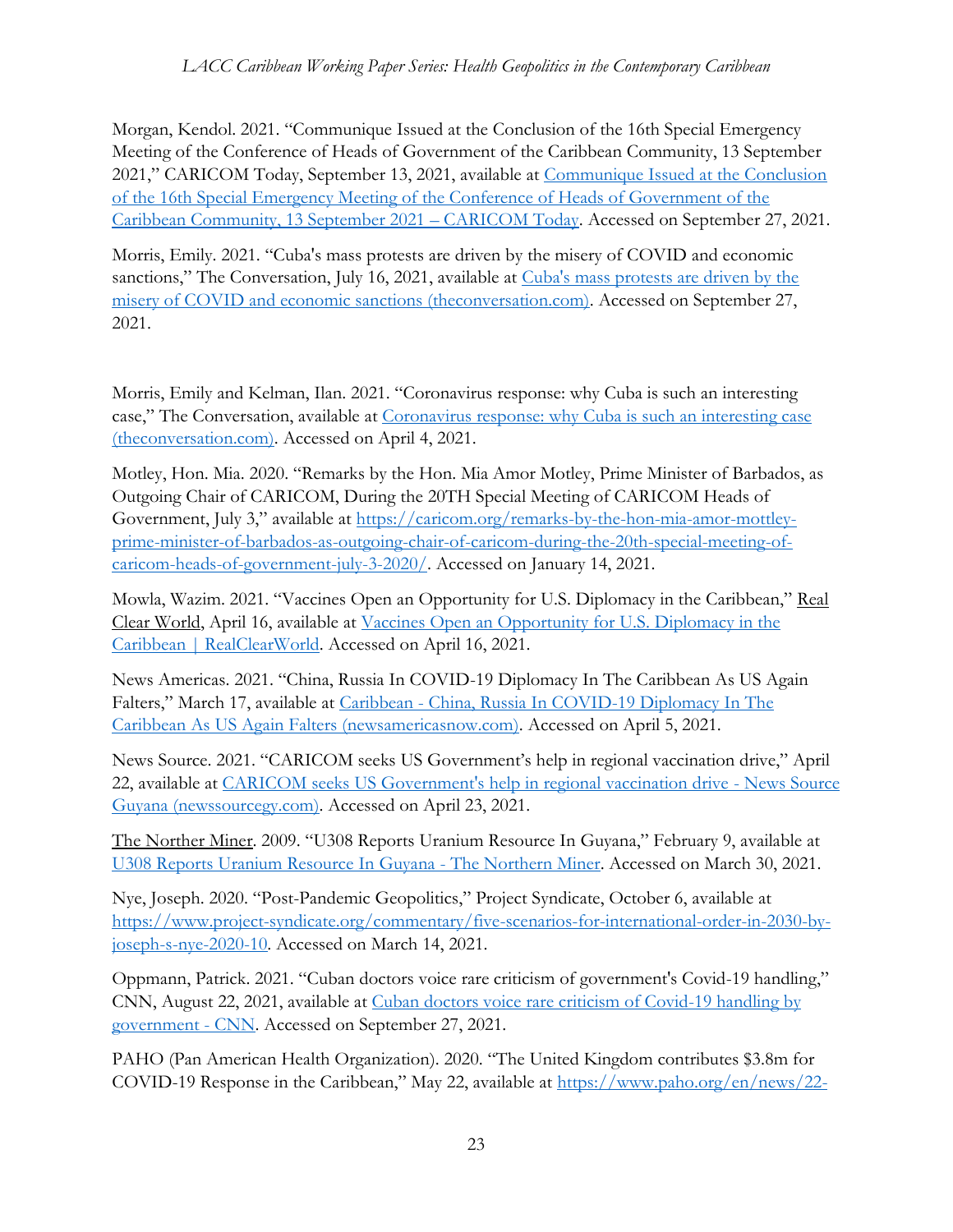Morgan, Kendol. 2021. "Communique Issued at the Conclusion of the 16th Special Emergency Meeting of the Conference of Heads of Government of the Caribbean Community, 13 September 2021," CARICOM Today, September 13, 2021, available at [Communique Issued at the Conclusion](https://today.caricom.org/2021/09/14/communique-issued-at-the-conclusion-of-the-forty-second-regular-meeting-of-the-conference-of-heads-of-government-of-the-caribbean-community-5-6-july-2021/)  [of the 16th Special Emergency Meeting of the Conference of Heads of Government of the](https://today.caricom.org/2021/09/14/communique-issued-at-the-conclusion-of-the-forty-second-regular-meeting-of-the-conference-of-heads-of-government-of-the-caribbean-community-5-6-july-2021/)  [Caribbean Community, 13 September 2021](https://today.caricom.org/2021/09/14/communique-issued-at-the-conclusion-of-the-forty-second-regular-meeting-of-the-conference-of-heads-of-government-of-the-caribbean-community-5-6-july-2021/) – CARICOM Today. Accessed on September 27, 2021.

Morris, Emily. 2021. "Cuba's mass protests are driven by the misery of COVID and economic sanctions," The Conversation, July 16, 2021, available at [Cuba's mass protests are driven by the](https://theconversation.com/amp/cubas-mass-protests-are-driven-by-the-misery-of-covid-and-economic-sanctions-164505)  [misery of COVID and economic sanctions \(theconversation.com\).](https://theconversation.com/amp/cubas-mass-protests-are-driven-by-the-misery-of-covid-and-economic-sanctions-164505) Accessed on September 27, 2021.

Morris, Emily and Kelman, Ilan. 2021. "Coronavirus response: why Cuba is such an interesting case," The Conversation, available at [Coronavirus response: why Cuba is such an interesting case](https://theconversation.com/amp/coronavirus-response-why-cuba-is-such-an-interesting-case-135749)  [\(theconversation.com\).](https://theconversation.com/amp/coronavirus-response-why-cuba-is-such-an-interesting-case-135749) Accessed on April 4, 2021.

Motley, Hon. Mia. 2020. "Remarks by the Hon. Mia Amor Motley, Prime Minister of Barbados, as Outgoing Chair of CARICOM, During the 20TH Special Meeting of CARICOM Heads of Government, July 3," available at [https://caricom.org/remarks-by-the-hon-mia-amor-mottley](https://caricom.org/remarks-by-the-hon-mia-amor-mottley-prime-minister-of-barbados-as-outgoing-chair-of-caricom-during-the-20th-special-meeting-of-caricom-heads-of-government-july-3-2020/)[prime-minister-of-barbados-as-outgoing-chair-of-caricom-during-the-20th-special-meeting-of](https://caricom.org/remarks-by-the-hon-mia-amor-mottley-prime-minister-of-barbados-as-outgoing-chair-of-caricom-during-the-20th-special-meeting-of-caricom-heads-of-government-july-3-2020/)[caricom-heads-of-government-july-3-2020/.](https://caricom.org/remarks-by-the-hon-mia-amor-mottley-prime-minister-of-barbados-as-outgoing-chair-of-caricom-during-the-20th-special-meeting-of-caricom-heads-of-government-july-3-2020/) Accessed on January 14, 2021.

Mowla, Wazim. 2021. "Vaccines Open an Opportunity for U.S. Diplomacy in the Caribbean," Real Clear World, April 16, available at [Vaccines Open an Opportunity for U.S. Diplomacy in the](https://www.realclearworld.com/articles/2021/04/16/vaccines_open_an_opportunity_for_us_diplomacy_in_the_caribbean_773146.html)  [Caribbean | RealClearWorld.](https://www.realclearworld.com/articles/2021/04/16/vaccines_open_an_opportunity_for_us_diplomacy_in_the_caribbean_773146.html) Accessed on April 16, 2021.

News Americas. 2021. "China, Russia In COVID-19 Diplomacy In The Caribbean As US Again Falters," March 17, available at Caribbean - [China, Russia In COVID-19 Diplomacy In The](https://newsamericasnow.com/caribbean-us-diplomacy-in-caribbean-being-orvershadowed-by-china-russia/)  [Caribbean As US Again Falters \(newsamericasnow.com\).](https://newsamericasnow.com/caribbean-us-diplomacy-in-caribbean-being-orvershadowed-by-china-russia/) Accessed on April 5, 2021.

News Source. 2021. "CARICOM seeks US Government's help in regional vaccination drive," April 22, available at [CARICOM seeks US Government's help in regional vaccination drive -](https://newssourcegy.com/news/caricom-seeks-us-governments-help-in-regional-vaccination-drive/) News Source [Guyana \(newssourcegy.com\).](https://newssourcegy.com/news/caricom-seeks-us-governments-help-in-regional-vaccination-drive/) Accessed on April 23, 2021.

The Norther Miner. 2009. "U308 Reports Uranium Resource In Guyana," February 9, available at [U308 Reports Uranium Resource In Guyana -](https://www.northernminer.com/news/u308-reports-uranium-resource-in-guyana/1000226810/) The Northern Miner. Accessed on March 30, 2021.

Nye, Joseph. 2020. "Post-Pandemic Geopolitics," Project Syndicate, October 6, available at [https://www.project-syndicate.org/commentary/five-scenarios-for-international-order-in-2030-by](https://www.project-syndicate.org/commentary/five-scenarios-for-international-order-in-2030-by-joseph-s-nye-2020-10)[joseph-s-nye-2020-10.](https://www.project-syndicate.org/commentary/five-scenarios-for-international-order-in-2030-by-joseph-s-nye-2020-10) Accessed on March 14, 2021.

Oppmann, Patrick. 2021. "Cuban doctors voice rare criticism of government's Covid-19 handling," CNN, August 22, 2021, available at [Cuban doctors voice rare criticism of Covid-19 handling by](https://amp.cnn.com/cnn/2021/08/22/americas/cuba-doctors-covid-intl/index.html)  [government -](https://amp.cnn.com/cnn/2021/08/22/americas/cuba-doctors-covid-intl/index.html) CNN. Accessed on September 27, 2021.

PAHO (Pan American Health Organization). 2020. "The United Kingdom contributes \$3.8m for COVID-19 Response in the Caribbean," May 22, available at [https://www.paho.org/en/news/22-](https://www.paho.org/en/news/22-5-2020-united-kingdom-contributes-38m-covid-19-response-caribbean)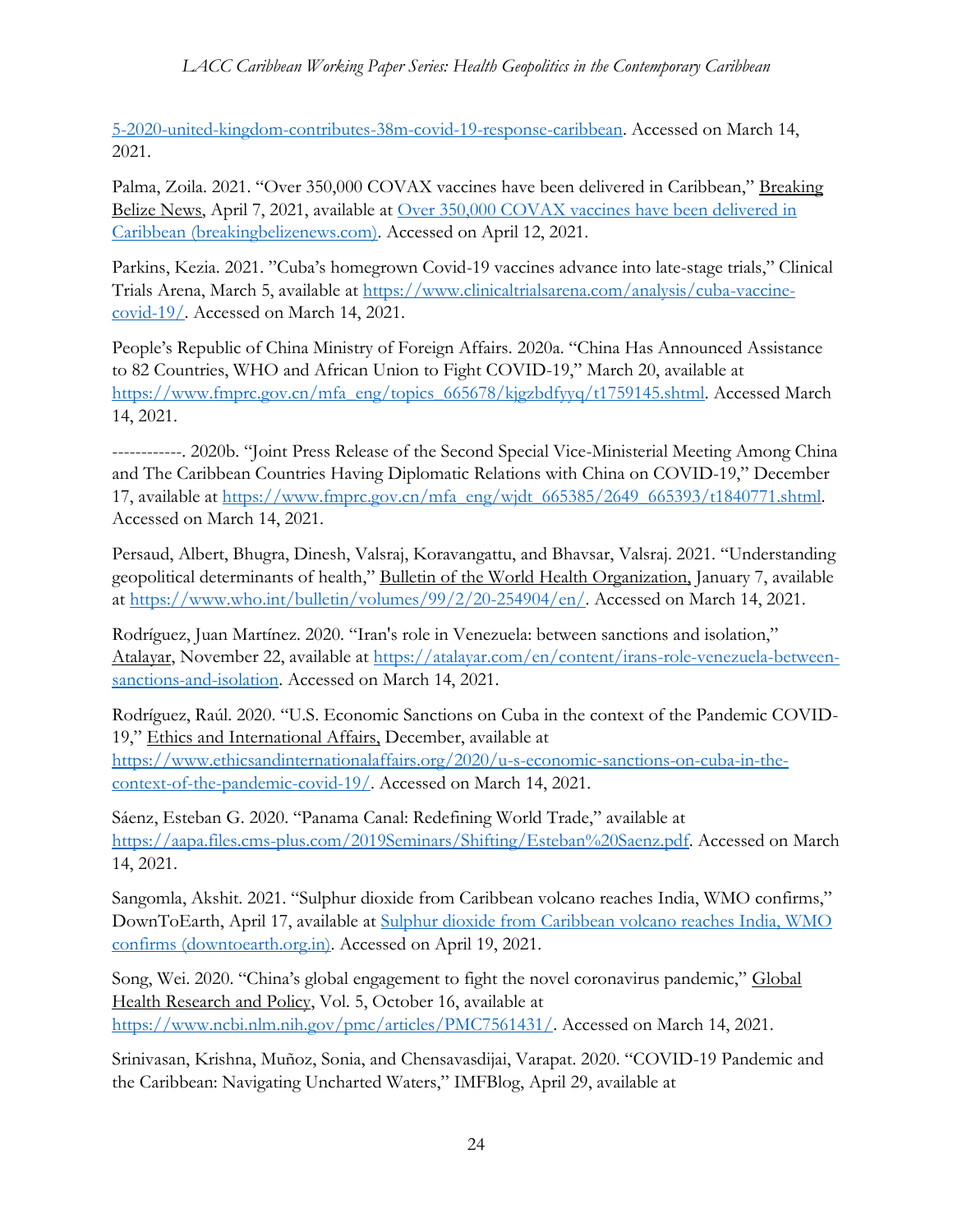[5-2020-united-kingdom-contributes-38m-covid-19-response-caribbean.](https://www.paho.org/en/news/22-5-2020-united-kingdom-contributes-38m-covid-19-response-caribbean) Accessed on March 14, 2021.

Palma, Zoila. 2021. "Over 350,000 COVAX vaccines have been delivered in Caribbean," Breaking Belize News, April 7, 2021, available at [Over 350,000 COVAX vaccines have been delivered in](https://www.breakingbelizenews.com/2021/04/07/over-350000-covax-vaccines-have-been-delivered-in-caribbean/)  [Caribbean \(breakingbelizenews.com\).](https://www.breakingbelizenews.com/2021/04/07/over-350000-covax-vaccines-have-been-delivered-in-caribbean/) Accessed on April 12, 2021.

Parkins, Kezia. 2021. "Cuba's homegrown Covid-19 vaccines advance into late-stage trials," Clinical Trials Arena, March 5, available at [https://www.clinicaltrialsarena.com/analysis/cuba-vaccine](https://www.clinicaltrialsarena.com/analysis/cuba-vaccine-covid-19/)[covid-19/.](https://www.clinicaltrialsarena.com/analysis/cuba-vaccine-covid-19/) Accessed on March 14, 2021.

People's Republic of China Ministry of Foreign Affairs. 2020a. "China Has Announced Assistance to 82 Countries, WHO and African Union to Fight COVID-19," March 20, available at [https://www.fmprc.gov.cn/mfa\\_eng/topics\\_665678/kjgzbdfyyq/t1759145.shtml.](https://www.fmprc.gov.cn/mfa_eng/topics_665678/kjgzbdfyyq/t1759145.shtml) Accessed March 14, 2021.

------------. 2020b. "Joint Press Release of the Second Special Vice-Ministerial Meeting Among China and The Caribbean Countries Having Diplomatic Relations with China on COVID-19," December 17, available at [https://www.fmprc.gov.cn/mfa\\_eng/wjdt\\_665385/2649\\_665393/t1840771.shtml.](https://www.fmprc.gov.cn/mfa_eng/wjdt_665385/2649_665393/t1840771.shtml) Accessed on March 14, 2021.

Persaud, Albert, Bhugra, Dinesh, Valsraj, Koravangattu, and Bhavsar, Valsraj. 2021. "Understanding geopolitical determinants of health," Bulletin of the World Health Organization, January 7, available at [https://www.who.int/bulletin/volumes/99/2/20-254904/en/.](https://www.who.int/bulletin/volumes/99/2/20-254904/en/) Accessed on March 14, 2021.

Rodríguez, Juan Martínez. 2020. "Iran's role in Venezuela: between sanctions and isolation," Atalayar, November 22, available at [https://atalayar.com/en/content/irans-role-venezuela-between](https://atalayar.com/en/content/irans-role-venezuela-between-sanctions-and-isolation)[sanctions-and-isolation.](https://atalayar.com/en/content/irans-role-venezuela-between-sanctions-and-isolation) Accessed on March 14, 2021.

Rodríguez, Raúl. 2020. "U.S. Economic Sanctions on Cuba in the context of the Pandemic COVID-19," Ethics and International Affairs, December, available at

[https://www.ethicsandinternationalaffairs.org/2020/u-s-economic-sanctions-on-cuba-in-the](https://www.ethicsandinternationalaffairs.org/2020/u-s-economic-sanctions-on-cuba-in-the-context-of-the-pandemic-covid-19/)[context-of-the-pandemic-covid-19/.](https://www.ethicsandinternationalaffairs.org/2020/u-s-economic-sanctions-on-cuba-in-the-context-of-the-pandemic-covid-19/) Accessed on March 14, 2021.

Sáenz, Esteban G. 2020. "Panama Canal: Redefining World Trade," available at [https://aapa.files.cms-plus.com/2019Seminars/Shifting/Esteban%20Saenz.pdf.](https://aapa.files.cms-plus.com/2019Seminars/Shifting/Esteban%20Saenz.pdf) Accessed on March 14, 2021.

Sangomla, Akshit. 2021. "Sulphur dioxide from Caribbean volcano reaches India, WMO confirms," DownToEarth, April 17, available at [Sulphur dioxide from Caribbean volcano reaches India, WMO](https://www.downtoearth.org.in/news/natural-disasters/sulphur-dioxide-from-caribbean-volcano-reaches-india-wmo-confirms-76547)  [confirms \(downtoearth.org.in\).](https://www.downtoearth.org.in/news/natural-disasters/sulphur-dioxide-from-caribbean-volcano-reaches-india-wmo-confirms-76547) Accessed on April 19, 2021.

Song, Wei. 2020. "China's global engagement to fight the novel coronavirus pandemic," Global Health Research and Policy, Vol. 5, October 16, available at [https://www.ncbi.nlm.nih.gov/pmc/articles/PMC7561431/.](https://www.ncbi.nlm.nih.gov/pmc/articles/PMC7561431/) Accessed on March 14, 2021.

Srinivasan, Krishna, Muñoz, Sonia, and Chensavasdijai, Varapat. 2020. "COVID-19 Pandemic and the Caribbean: Navigating Uncharted Waters," IMFBlog, April 29, available at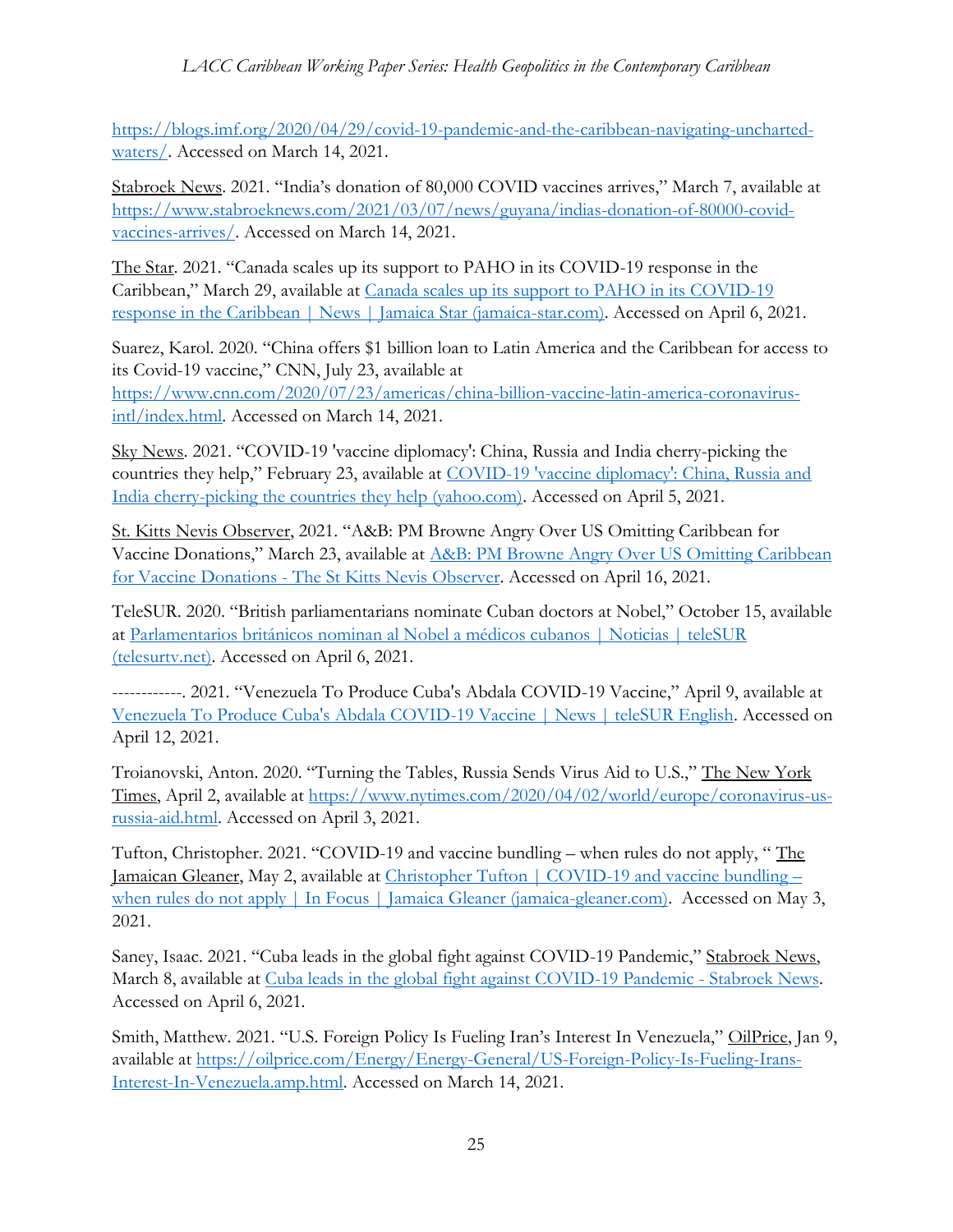[https://blogs.imf.org/2020/04/29/covid-19-pandemic-and-the-caribbean-navigating-uncharted](https://blogs.imf.org/2020/04/29/covid-19-pandemic-and-the-caribbean-navigating-uncharted-waters/)[waters/.](https://blogs.imf.org/2020/04/29/covid-19-pandemic-and-the-caribbean-navigating-uncharted-waters/) Accessed on March 14, 2021.

Stabroek News. 2021. "India's donation of 80,000 COVID vaccines arrives," March 7, available at [https://www.stabroeknews.com/2021/03/07/news/guyana/indias-donation-of-80000-covid](https://www.stabroeknews.com/2021/03/07/news/guyana/indias-donation-of-80000-covid-vaccines-arrives/)[vaccines-arrives/.](https://www.stabroeknews.com/2021/03/07/news/guyana/indias-donation-of-80000-covid-vaccines-arrives/) Accessed on March 14, 2021.

The Star. 2021. "Canada scales up its support to PAHO in its COVID-19 response in the Caribbean," March 29, available at [Canada scales up its support to PAHO in its COVID-19](http://jamaica-star.com/article/news/20210329/canada-scales-its-support-paho-its-covid-19-response-caribbean)  [response in the Caribbean | News | Jamaica Star \(jamaica-star.com\).](http://jamaica-star.com/article/news/20210329/canada-scales-its-support-paho-its-covid-19-response-caribbean) Accessed on April 6, 2021.

Suarez, Karol. 2020. "China offers \$1 billion loan to Latin America and the Caribbean for access to its Covid-19 vaccine," CNN, July 23, available at [https://www.cnn.com/2020/07/23/americas/china-billion-vaccine-latin-america-coronavirus](https://www.cnn.com/2020/07/23/americas/china-billion-vaccine-latin-america-coronavirus-intl/index.html)[intl/index.html.](https://www.cnn.com/2020/07/23/americas/china-billion-vaccine-latin-america-coronavirus-intl/index.html) Accessed on March 14, 2021.

Sky News. 2021. "COVID-19 'vaccine diplomacy': China, Russia and India cherry-picking the countries they help," February 23, available at [COVID-19 'vaccine diplomacy': China, Russia and](https://ca.movies.yahoo.com/covid-19-vaccine-diplomacy-china-172700678.html)  [India cherry-picking the countries they help \(yahoo.com\).](https://ca.movies.yahoo.com/covid-19-vaccine-diplomacy-china-172700678.html) Accessed on April 5, 2021.

St. Kitts Nevis Observer, 2021. "A&B: PM Browne Angry Over US Omitting Caribbean for Vaccine Donations," March 23, available at [A&B: PM Browne Angry Over US Omitting](https://www.thestkittsnevisobserver.com/ab-pm-browne-angry-over-us-omitting-caribbean-for-vaccine-donations/) Caribbean for Vaccine Donations - [The St Kitts Nevis Observer.](https://www.thestkittsnevisobserver.com/ab-pm-browne-angry-over-us-omitting-caribbean-for-vaccine-donations/) Accessed on April 16, 2021.

TeleSUR. 2020. "British parliamentarians nominate Cuban doctors at Nobel," October 15, available at [Parlamentarios británicos nominan al Nobel a médicos cubanos | Noticias | teleSUR](https://www.telesurtv.net/news/parlamentarios-britanicos-nominan-nobel-medicos-cubanos-20201015-0032.html)  [\(telesurtv.net\).](https://www.telesurtv.net/news/parlamentarios-britanicos-nominan-nobel-medicos-cubanos-20201015-0032.html) Accessed on April 6, 2021.

------------. 2021. "Venezuela To Produce Cuba's Abdala COVID-19 Vaccine," April 9, available at [Venezuela To Produce Cuba's Abdala COVID-19 Vaccine | News | teleSUR English.](https://www.telesurenglish.net/news/Venezuela-To-Produce-Cuban-Abdala-Vaccine-20210409-0001.html) Accessed on April 12, 2021.

Troianovski, Anton. 2020. "Turning the Tables, Russia Sends Virus Aid to U.S.," The New York Times, April 2, available at [https://www.nytimes.com/2020/04/02/world/europe/coronavirus-us](https://www.nytimes.com/2020/04/02/world/europe/coronavirus-us-russia-aid.html)[russia-aid.html.](https://www.nytimes.com/2020/04/02/world/europe/coronavirus-us-russia-aid.html) Accessed on April 3, 2021.

Tufton, Christopher. 2021. "COVID-19 and vaccine bundling – when rules do not apply, " The Jamaican Gleaner, May 2, available at [Christopher Tufton | COVID-19 and vaccine bundling](https://jamaica-gleaner.com/article/focus/20210502/christopher-tufton-covid-19-and-vaccine-bundling-when-rules-do-not-apply) – [when rules do not apply | In Focus | Jamaica Gleaner \(jamaica-gleaner.com\).](https://jamaica-gleaner.com/article/focus/20210502/christopher-tufton-covid-19-and-vaccine-bundling-when-rules-do-not-apply) Accessed on May 3, 2021.

Saney, Isaac. 2021. "Cuba leads in the global fight against COVID-19 Pandemic," Stabroek News, March 8, available at [Cuba leads in the global fight against COVID-19 Pandemic -](https://www.stabroeknews.com/2021/03/08/features/in-the-diaspora/cuba-leads-in-the-global-fight-against-covid-19-pandemic/) Stabroek News. Accessed on April 6, 2021.

Smith, Matthew. 2021. "U.S. Foreign Policy Is Fueling Iran's Interest In Venezuela," OilPrice, Jan 9, available at [https://oilprice.com/Energy/Energy-General/US-Foreign-Policy-Is-Fueling-Irans-](https://oilprice.com/Energy/Energy-General/US-Foreign-Policy-Is-Fueling-Irans-Interest-In-Venezuela.amp.html)[Interest-In-Venezuela.amp.html.](https://oilprice.com/Energy/Energy-General/US-Foreign-Policy-Is-Fueling-Irans-Interest-In-Venezuela.amp.html) Accessed on March 14, 2021.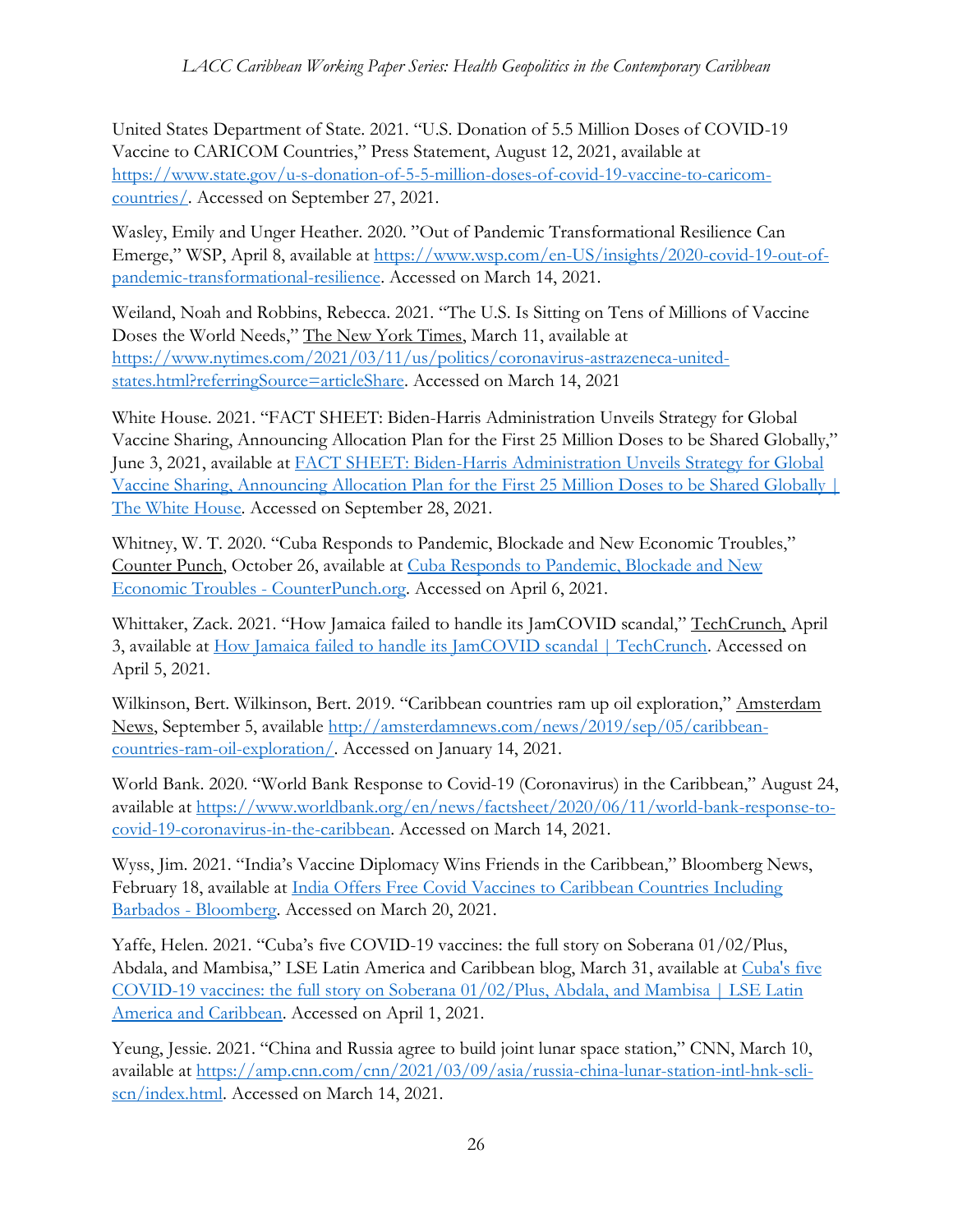United States Department of State. 2021. "U.S. Donation of 5.5 Million Doses of COVID-19 Vaccine to CARICOM Countries," Press Statement, August 12, 2021, available at [https://www.state.gov/u-s-donation-of-5-5-million-doses-of-covid-19-vaccine-to-caricom](https://www.state.gov/u-s-donation-of-5-5-million-doses-of-covid-19-vaccine-to-caricom-countries/)[countries/.](https://www.state.gov/u-s-donation-of-5-5-million-doses-of-covid-19-vaccine-to-caricom-countries/) Accessed on September 27, 2021.

Wasley, Emily and Unger Heather. 2020. "Out of Pandemic Transformational Resilience Can Emerge," WSP, April 8, available at [https://www.wsp.com/en-US/insights/2020-covid-19-out-of](https://www.wsp.com/en-US/insights/2020-covid-19-out-of-pandemic-transformational-resilience)[pandemic-transformational-resilience.](https://www.wsp.com/en-US/insights/2020-covid-19-out-of-pandemic-transformational-resilience) Accessed on March 14, 2021.

Weiland, Noah and Robbins, Rebecca. 2021. "The U.S. Is Sitting on Tens of Millions of Vaccine Doses the World Needs," The New York Times, March 11, available at [https://www.nytimes.com/2021/03/11/us/politics/coronavirus-astrazeneca-united](https://www.nytimes.com/2021/03/11/us/politics/coronavirus-astrazeneca-united-states.html?referringSource=articleShare)[states.html?referringSource=articleShare.](https://www.nytimes.com/2021/03/11/us/politics/coronavirus-astrazeneca-united-states.html?referringSource=articleShare) Accessed on March 14, 2021

White House. 2021. "FACT SHEET: Biden-Harris Administration Unveils Strategy for Global Vaccine Sharing, Announcing Allocation Plan for the First 25 Million Doses to be Shared Globally," June 3, 2021, available at [FACT SHEET: Biden-Harris Administration Unveils Strategy for Global](https://www.whitehouse.gov/briefing-room/statements-releases/2021/06/03/fact-sheet-biden-harris-administration-unveils-strategy-for-global-vaccine-sharing-announcing-allocation-plan-for-the-first-25-million-doses-to-be-shared-globally/)  [Vaccine Sharing, Announcing Allocation Plan for the First 25 Million Doses to be Shared Globally |](https://www.whitehouse.gov/briefing-room/statements-releases/2021/06/03/fact-sheet-biden-harris-administration-unveils-strategy-for-global-vaccine-sharing-announcing-allocation-plan-for-the-first-25-million-doses-to-be-shared-globally/)  [The White House.](https://www.whitehouse.gov/briefing-room/statements-releases/2021/06/03/fact-sheet-biden-harris-administration-unveils-strategy-for-global-vaccine-sharing-announcing-allocation-plan-for-the-first-25-million-doses-to-be-shared-globally/) Accessed on September 28, 2021.

Whitney, W. T. 2020. "Cuba Responds to Pandemic, Blockade and New Economic Troubles," Counter Punch, October 26, available at [Cuba Responds to Pandemic, Blockade and New](https://www.counterpunch.org/2020/10/26/cuba-responds-to-pandemic-blockade-and-new-economic-troubles/)  [Economic Troubles -](https://www.counterpunch.org/2020/10/26/cuba-responds-to-pandemic-blockade-and-new-economic-troubles/) CounterPunch.org. Accessed on April 6, 2021.

Whittaker, Zack. 2021. "How Jamaica failed to handle its JamCOVID scandal," TechCrunch, April 3, available at [How Jamaica failed to handle its JamCOVID scandal | TechCrunch.](https://techcrunch.com/2021/04/03/jamaica-jamcovid-amber-group/) Accessed on April 5, 2021.

Wilkinson, Bert. Wilkinson, Bert. 2019. "Caribbean countries ram up oil exploration," Amsterdam News, September 5, available [http://amsterdamnews.com/news/2019/sep/05/caribbean](http://amsterdamnews.com/news/2019/sep/05/caribbean-countries-ram-oil-exploration/)[countries-ram-oil-exploration/.](http://amsterdamnews.com/news/2019/sep/05/caribbean-countries-ram-oil-exploration/) Accessed on January 14, 2021.

World Bank. 2020. "World Bank Response to Covid-19 (Coronavirus) in the Caribbean," August 24, available at [https://www.worldbank.org/en/news/factsheet/2020/06/11/world-bank-response-to](https://www.worldbank.org/en/news/factsheet/2020/06/11/world-bank-response-to-covid-19-coronavirus-in-the-caribbean)[covid-19-coronavirus-in-the-caribbean.](https://www.worldbank.org/en/news/factsheet/2020/06/11/world-bank-response-to-covid-19-coronavirus-in-the-caribbean) Accessed on March 14, 2021.

Wyss, Jim. 2021. "India's Vaccine Diplomacy Wins Friends in the Caribbean," Bloomberg News, February 18, available at India Offers Free Covid Vaccines to Caribbean Countries Including Barbados - [Bloomberg.](https://www.bloomberg.com/news/articles/2021-02-18/india-s-vaccine-diplomacy-wins-friends-in-the-caribbean) Accessed on March 20, 2021.

Yaffe, Helen. 2021. "Cuba's five COVID-19 vaccines: the full story on Soberana 01/02/Plus, Abdala, and Mambisa," LSE Latin America and Caribbean blog, March 31, available at [Cuba's five](https://blogs.lse.ac.uk/latamcaribbean/2021/03/31/cubas-five-covid-19-vaccines-the-full-story-on-soberana-01-02-plus-abdala-and-mambisa/)  [COVID-19 vaccines: the full story on Soberana 01/02/Plus, Abdala, and Mambisa | LSE Latin](https://blogs.lse.ac.uk/latamcaribbean/2021/03/31/cubas-five-covid-19-vaccines-the-full-story-on-soberana-01-02-plus-abdala-and-mambisa/)  [America and Caribbean.](https://blogs.lse.ac.uk/latamcaribbean/2021/03/31/cubas-five-covid-19-vaccines-the-full-story-on-soberana-01-02-plus-abdala-and-mambisa/) Accessed on April 1, 2021.

Yeung, Jessie. 2021. "China and Russia agree to build joint lunar space station," CNN, March 10, available at [https://amp.cnn.com/cnn/2021/03/09/asia/russia-china-lunar-station-intl-hnk-scli](https://amp.cnn.com/cnn/2021/03/09/asia/russia-china-lunar-station-intl-hnk-scli-scn/index.html)[scn/index.html.](https://amp.cnn.com/cnn/2021/03/09/asia/russia-china-lunar-station-intl-hnk-scli-scn/index.html) Accessed on March 14, 2021.